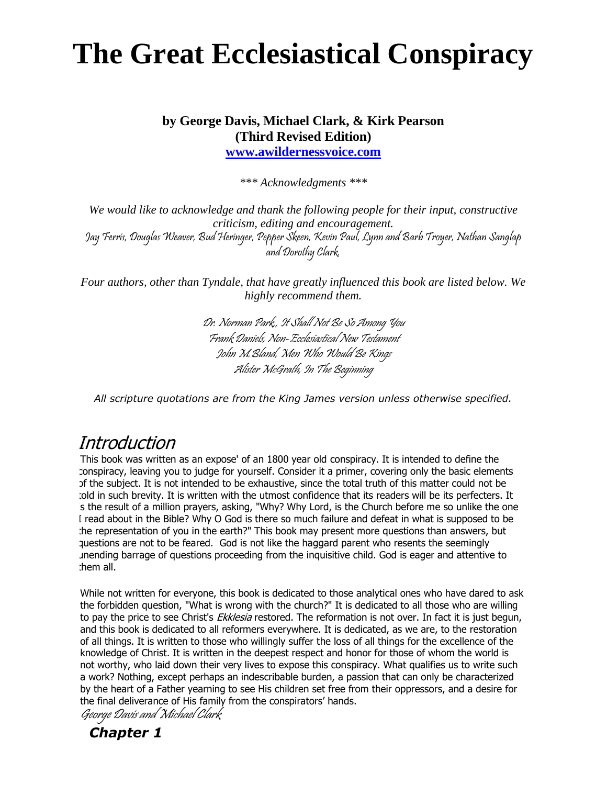# **The Great Ecclesiastical Conspiracy**

# **by George Davis, Michael Clark, & Kirk Pearson (Third Revised Edition)**

**[www.awildernessvoice.com](http://www.awildernessvoice.com/#_blank)**

*\*\*\* Acknowledgments \*\*\**

*We would like to acknowledge and thank the following people for their input, constructive criticism, editing and encouragement.* Jay Ferris, Douglas Weaver, Bud Heringer, Pepper Skeen, Kevin Paul, Lynn and Barb Troyer, Nathan Sanglap and Dorothy Clark.

*Four authors, other than Tyndale, that have greatly influenced this book are listed below. We highly recommend them.*

> Dr. Norman Park,, It Shall Not Be So Among You Frank Daniels, Non-Ecclesiastical New Testament John M.Bland, Men Who Would Be Kings Alister McGrath, In The Beginning

*All scripture quotations are from the King James version unless otherwise specified.*

# **Introduction**

This book was written as an expose' of an 1800 year old conspiracy. It is intended to define the conspiracy, leaving you to judge for yourself. Consider it a primer, covering only the basic elements of the subject. It is not intended to be exhaustive, since the total truth of this matter could not be told in such brevity. It is written with the utmost confidence that its readers will be its perfecters. It is the result of a million prayers, asking, "Why? Why Lord, is the Church before me so unlike the one I read about in the Bible? Why O God is there so much failure and defeat in what is supposed to be the representation of you in the earth?" This book may present more questions than answers, but questions are not to be feared. God is not like the haggard parent who resents the seemingly unending barrage of questions proceeding from the inquisitive child. God is eager and attentive to them all.

While not written for everyone, this book is dedicated to those analytical ones who have dared to ask the forbidden question, "What is wrong with the church?" It is dedicated to all those who are willing to pay the price to see Christ's *Ekklesia* restored. The reformation is not over. In fact it is just begun, and this book is dedicated to all reformers everywhere. It is dedicated, as we are, to the restoration of all things. It is written to those who willingly suffer the loss of all things for the excellence of the knowledge of Christ. It is written in the deepest respect and honor for those of whom the world is not worthy, who laid down their very lives to expose this conspiracy. What qualifies us to write such a work? Nothing, except perhaps an indescribable burden, a passion that can only be characterized by the heart of a Father yearning to see His children set free from their oppressors, and a desire for the final deliverance of His family from the conspirators' hands.

George Davis and Michael Clark

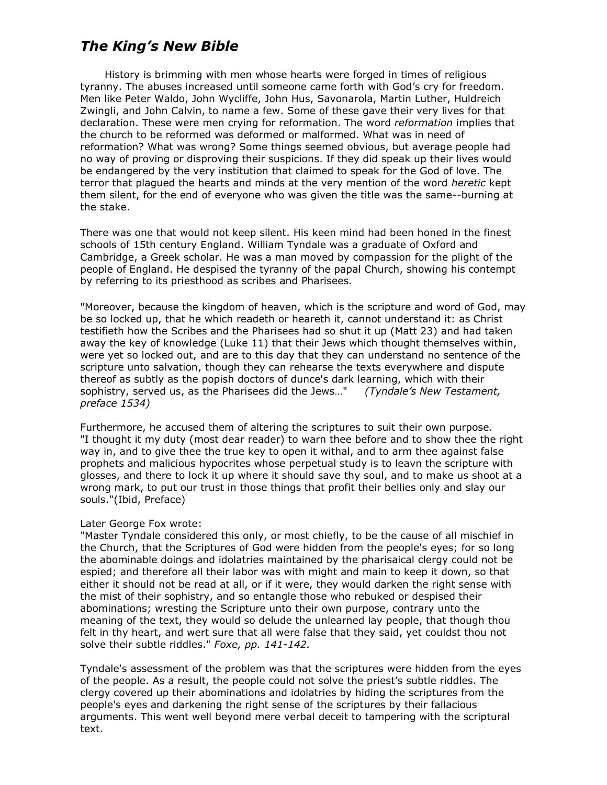## *The King's New Bible*

 History is brimming with men whose hearts were forged in times of religious tyranny. The abuses increased until someone came forth with God's cry for freedom. Men like Peter Waldo, John Wycliffe, John Hus, Savonarola, Martin Luther, Huldreich Zwingli, and John Calvin, to name a few. Some of these gave their very lives for that declaration. These were men crying for reformation. The word *reformation* implies that the church to be reformed was deformed or malformed. What was in need of reformation? What was wrong? Some things seemed obvious, but average people had no way of proving or disproving their suspicions. If they did speak up their lives would be endangered by the very institution that claimed to speak for the God of love. The terror that plagued the hearts and minds at the very mention of the word *heretic* kept them silent, for the end of everyone who was given the title was the same--burning at the stake.

There was one that would not keep silent. His keen mind had been honed in the finest schools of 15th century England. William Tyndale was a graduate of Oxford and Cambridge, a Greek scholar. He was a man moved by compassion for the plight of the people of England. He despised the tyranny of the papal Church, showing his contempt by referring to its priesthood as scribes and Pharisees.

"Moreover, because the kingdom of heaven, which is the scripture and word of God, may be so locked up, that he which readeth or heareth it, cannot understand it: as Christ testifieth how the Scribes and the Pharisees had so shut it up (Matt 23) and had taken away the key of knowledge (Luke 11) that their Jews which thought themselves within, were yet so locked out, and are to this day that they can understand no sentence of the scripture unto salvation, though they can rehearse the texts everywhere and dispute thereof as subtly as the popish doctors of dunce's dark learning, which with their sophistry, served us, as the Pharisees did the Jews…" *(Tyndale's New Testament, preface 1534)*

Furthermore, he accused them of altering the scriptures to suit their own purpose. "I thought it my duty (most dear reader) to warn thee before and to show thee the right way in, and to give thee the true key to open it withal, and to arm thee against false prophets and malicious hypocrites whose perpetual study is to leavn the scripture with glosses, and there to lock it up where it should save thy soul, and to make us shoot at a wrong mark, to put our trust in those things that profit their bellies only and slay our souls."(Ibid, Preface)

#### Later George Fox wrote:

"Master Tyndale considered this only, or most chiefly, to be the cause of all mischief in the Church, that the Scriptures of God were hidden from the people's eyes; for so long the abominable doings and idolatries maintained by the pharisaical clergy could not be espied; and therefore all their labor was with might and main to keep it down, so that either it should not be read at all, or if it were, they would darken the right sense with the mist of their sophistry, and so entangle those who rebuked or despised their abominations; wresting the Scripture unto their own purpose, contrary unto the meaning of the text, they would so delude the unlearned lay people, that though thou felt in thy heart, and wert sure that all were false that they said, yet couldst thou not solve their subtle riddles." *Foxe, pp. 141-142.*

Tyndale's assessment of the problem was that the scriptures were hidden from the eyes of the people. As a result, the people could not solve the priest's subtle riddles. The clergy covered up their abominations and idolatries by hiding the scriptures from the people's eyes and darkening the right sense of the scriptures by their fallacious arguments. This went well beyond mere verbal deceit to tampering with the scriptural text.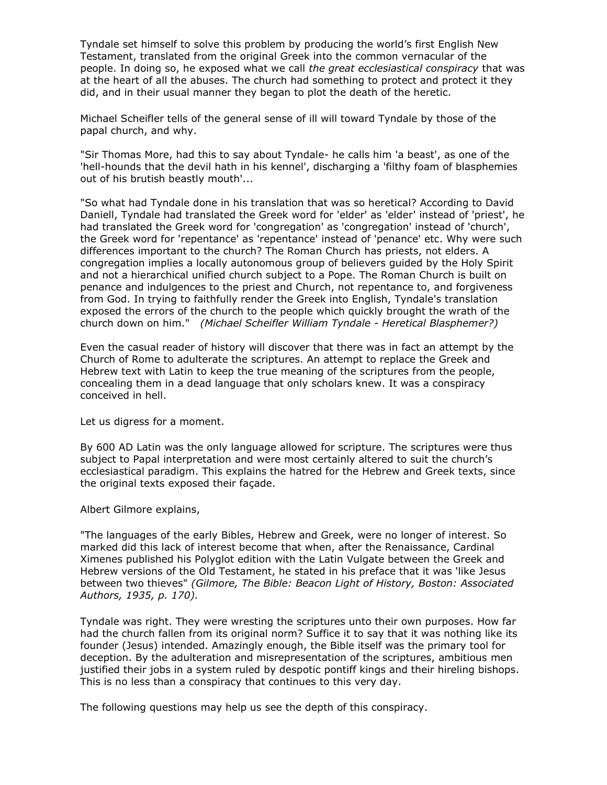Tyndale set himself to solve this problem by producing the world's first English New Testament, translated from the original Greek into the common vernacular of the people. In doing so, he exposed what we call *the great ecclesiastical conspiracy* that was at the heart of all the abuses. The church had something to protect and protect it they did, and in their usual manner they began to plot the death of the heretic.

Michael Scheifler tells of the general sense of ill will toward Tyndale by those of the papal church, and why.

"Sir Thomas More, had this to say about Tyndale- he calls him 'a beast', as one of the 'hell-hounds that the devil hath in his kennel', discharging a 'filthy foam of blasphemies out of his brutish beastly mouth'...

"So what had Tyndale done in his translation that was so heretical? According to David Daniell, Tyndale had translated the Greek word for 'elder' as 'elder' instead of 'priest', he had translated the Greek word for 'congregation' as 'congregation' instead of 'church', the Greek word for 'repentance' as 'repentance' instead of 'penance' etc. Why were such differences important to the church? The Roman Church has priests, not elders. A congregation implies a locally autonomous group of believers guided by the Holy Spirit and not a hierarchical unified church subject to a Pope. The Roman Church is built on penance and indulgences to the priest and Church, not repentance to, and forgiveness from God. In trying to faithfully render the Greek into English, Tyndale's translation exposed the errors of the church to the people which quickly brought the wrath of the church down on him." *(Michael Scheifler William Tyndale - Heretical Blasphemer?)*

Even the casual reader of history will discover that there was in fact an attempt by the Church of Rome to adulterate the scriptures. An attempt to replace the Greek and Hebrew text with Latin to keep the true meaning of the scriptures from the people, concealing them in a dead language that only scholars knew. It was a conspiracy conceived in hell.

Let us digress for a moment.

By 600 AD Latin was the only language allowed for scripture. The scriptures were thus subject to Papal interpretation and were most certainly altered to suit the church's ecclesiastical paradigm. This explains the hatred for the Hebrew and Greek texts, since the original texts exposed their façade.

Albert Gilmore explains,

"The languages of the early Bibles, Hebrew and Greek, were no longer of interest. So marked did this lack of interest become that when, after the Renaissance, Cardinal Ximenes published his Polyglot edition with the Latin Vulgate between the Greek and Hebrew versions of the Old Testament, he stated in his preface that it was 'like Jesus between two thieves" *(Gilmore, The Bible: Beacon Light of History, Boston: Associated Authors, 1935, p. 170).*

Tyndale was right. They were wresting the scriptures unto their own purposes. How far had the church fallen from its original norm? Suffice it to say that it was nothing like its founder (Jesus) intended. Amazingly enough, the Bible itself was the primary tool for deception. By the adulteration and misrepresentation of the scriptures, ambitious men justified their jobs in a system ruled by despotic pontiff kings and their hireling bishops. This is no less than a conspiracy that continues to this very day.

The following questions may help us see the depth of this conspiracy.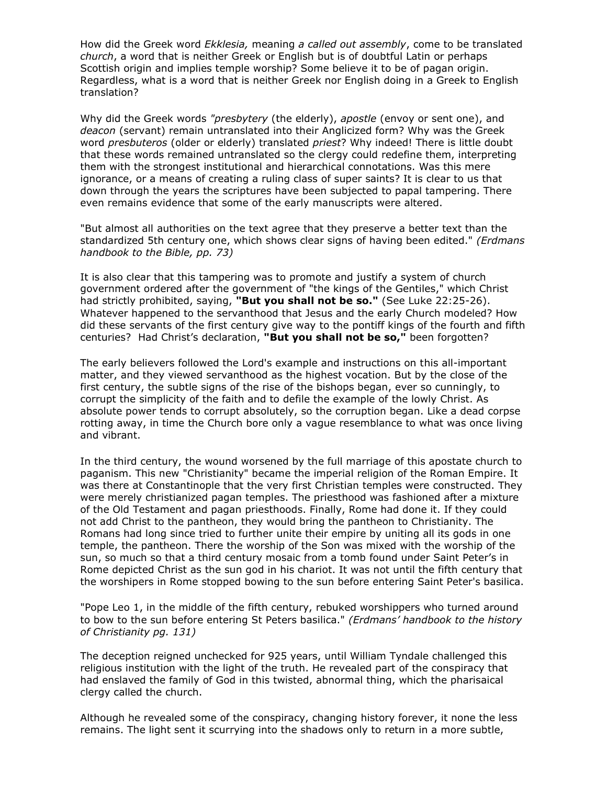How did the Greek word *Ekklesia,* meaning *a called out assembly*, come to be translated *church*, a word that is neither Greek or English but is of doubtful Latin or perhaps Scottish origin and implies temple worship? Some believe it to be of pagan origin. Regardless, what is a word that is neither Greek nor English doing in a Greek to English translation?

Why did the Greek words *"presbytery* (the elderly), *apostle* (envoy or sent one), and *deacon* (servant) remain untranslated into their Anglicized form? Why was the Greek word *presbuteros* (older or elderly) translated *priest*? Why indeed! There is little doubt that these words remained untranslated so the clergy could redefine them, interpreting them with the strongest institutional and hierarchical connotations. Was this mere ignorance, or a means of creating a ruling class of super saints? It is clear to us that down through the years the scriptures have been subjected to papal tampering. There even remains evidence that some of the early manuscripts were altered.

"But almost all authorities on the text agree that they preserve a better text than the standardized 5th century one, which shows clear signs of having been edited." *(Erdmans handbook to the Bible, pp. 73)*

It is also clear that this tampering was to promote and justify a system of church government ordered after the government of "the kings of the Gentiles," which Christ had strictly prohibited, saying, **"But you shall not be so."** (See Luke 22:25-26). Whatever happened to the servanthood that Jesus and the early Church modeled? How did these servants of the first century give way to the pontiff kings of the fourth and fifth centuries? Had Christ's declaration, **"But you shall not be so,"** been forgotten?

The early believers followed the Lord's example and instructions on this all-important matter, and they viewed servanthood as the highest vocation. But by the close of the first century, the subtle signs of the rise of the bishops began, ever so cunningly, to corrupt the simplicity of the faith and to defile the example of the lowly Christ. As absolute power tends to corrupt absolutely, so the corruption began. Like a dead corpse rotting away, in time the Church bore only a vague resemblance to what was once living and vibrant.

In the third century, the wound worsened by the full marriage of this apostate church to paganism. This new "Christianity" became the imperial religion of the Roman Empire. It was there at Constantinople that the very first Christian temples were constructed. They were merely christianized pagan temples. The priesthood was fashioned after a mixture of the Old Testament and pagan priesthoods. Finally, Rome had done it. If they could not add Christ to the pantheon, they would bring the pantheon to Christianity. The Romans had long since tried to further unite their empire by uniting all its gods in one temple, the pantheon. There the worship of the Son was mixed with the worship of the sun, so much so that a third century mosaic from a tomb found under Saint Peter's in Rome depicted Christ as the sun god in his chariot. It was not until the fifth century that the worshipers in Rome stopped bowing to the sun before entering Saint Peter's basilica.

"Pope Leo 1, in the middle of the fifth century, rebuked worshippers who turned around to bow to the sun before entering St Peters basilica." *(Erdmans' handbook to the history of Christianity pg. 131)*

The deception reigned unchecked for 925 years, until William Tyndale challenged this religious institution with the light of the truth. He revealed part of the conspiracy that had enslaved the family of God in this twisted, abnormal thing, which the pharisaical clergy called the church.

Although he revealed some of the conspiracy, changing history forever, it none the less remains. The light sent it scurrying into the shadows only to return in a more subtle,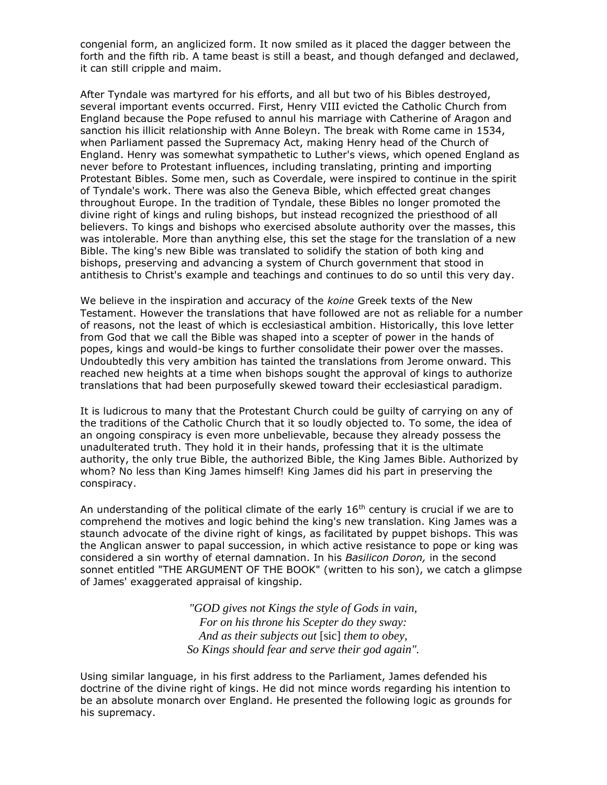congenial form, an anglicized form. It now smiled as it placed the dagger between the forth and the fifth rib. A tame beast is still a beast, and though defanged and declawed, it can still cripple and maim.

After Tyndale was martyred for his efforts, and all but two of his Bibles destroyed, several important events occurred. First, Henry VIII evicted the Catholic Church from England because the Pope refused to annul his marriage with Catherine of Aragon and sanction his illicit relationship with Anne Boleyn. The break with Rome came in 1534, when Parliament passed the Supremacy Act, making Henry head of the Church of England. Henry was somewhat sympathetic to Luther's views, which opened England as never before to Protestant influences, including translating, printing and importing Protestant Bibles. Some men, such as Coverdale, were inspired to continue in the spirit of Tyndale's work. There was also the Geneva Bible, which effected great changes throughout Europe. In the tradition of Tyndale, these Bibles no longer promoted the divine right of kings and ruling bishops, but instead recognized the priesthood of all believers. To kings and bishops who exercised absolute authority over the masses, this was intolerable. More than anything else, this set the stage for the translation of a new Bible. The king's new Bible was translated to solidify the station of both king and bishops, preserving and advancing a system of Church government that stood in antithesis to Christ's example and teachings and continues to do so until this very day.

We believe in the inspiration and accuracy of the *koine* Greek texts of the New Testament. However the translations that have followed are not as reliable for a number of reasons, not the least of which is ecclesiastical ambition. Historically, this love letter from God that we call the Bible was shaped into a scepter of power in the hands of popes, kings and would-be kings to further consolidate their power over the masses. Undoubtedly this very ambition has tainted the translations from Jerome onward. This reached new heights at a time when bishops sought the approval of kings to authorize translations that had been purposefully skewed toward their ecclesiastical paradigm.

It is ludicrous to many that the Protestant Church could be guilty of carrying on any of the traditions of the Catholic Church that it so loudly objected to. To some, the idea of an ongoing conspiracy is even more unbelievable, because they already possess the unadulterated truth. They hold it in their hands, professing that it is the ultimate authority, the only true Bible, the authorized Bible, the King James Bible. Authorized by whom? No less than King James himself! King James did his part in preserving the conspiracy.

An understanding of the political climate of the early  $16<sup>th</sup>$  century is crucial if we are to comprehend the motives and logic behind the king's new translation. King James was a staunch advocate of the divine right of kings, as facilitated by puppet bishops. This was the Anglican answer to papal succession, in which active resistance to pope or king was considered a sin worthy of eternal damnation. In his *Basilicon Doron,* in the second sonnet entitled "THE ARGUMENT OF THE BOOK" (written to his son), we catch a glimpse of James' exaggerated appraisal of kingship.

> *"GOD gives not Kings the style of Gods in vain, For on his throne his Scepter do they sway: And as their subjects out* [sic] *them to obey, So Kings should fear and serve their god again".*

Using similar language, in his first address to the Parliament, James defended his doctrine of the divine right of kings. He did not mince words regarding his intention to be an absolute monarch over England. He presented the following logic as grounds for his supremacy.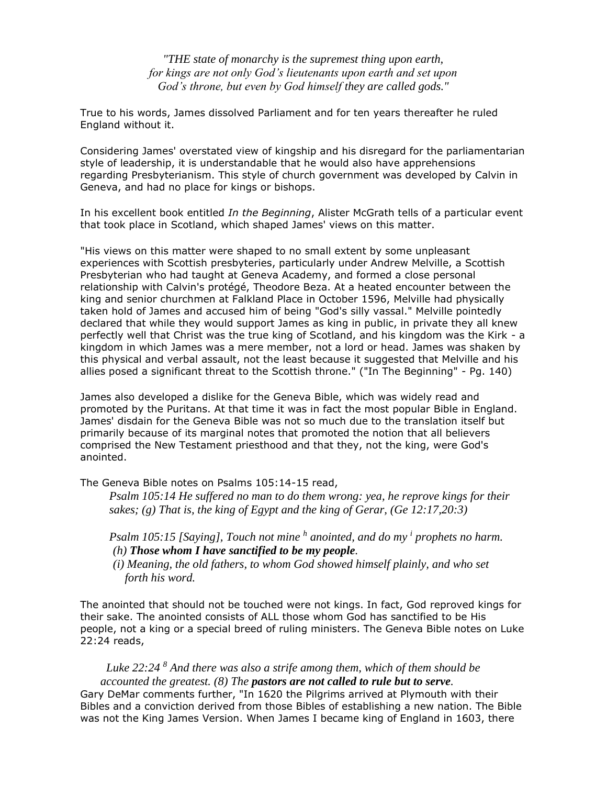*"THE state of monarchy is the supremest thing upon earth, for kings are not only God's lieutenants upon earth and set upon God's throne, but even by God himself they are called gods."*

True to his words, James dissolved Parliament and for ten years thereafter he ruled England without it.

Considering James' overstated view of kingship and his disregard for the parliamentarian style of leadership, it is understandable that he would also have apprehensions regarding Presbyterianism. This style of church government was developed by Calvin in Geneva, and had no place for kings or bishops.

In his excellent book entitled *In the Beginning*, Alister McGrath tells of a particular event that took place in Scotland, which shaped James' views on this matter.

"His views on this matter were shaped to no small extent by some unpleasant experiences with Scottish presbyteries, particularly under Andrew Melville, a Scottish Presbyterian who had taught at Geneva Academy, and formed a close personal relationship with Calvin's protégé, Theodore Beza. At a heated encounter between the king and senior churchmen at Falkland Place in October 1596, Melville had physically taken hold of James and accused him of being "God's silly vassal." Melville pointedly declared that while they would support James as king in public, in private they all knew perfectly well that Christ was the true king of Scotland, and his kingdom was the Kirk - a kingdom in which James was a mere member, not a lord or head. James was shaken by this physical and verbal assault, not the least because it suggested that Melville and his allies posed a significant threat to the Scottish throne." ("In The Beginning" - Pg. 140)

James also developed a dislike for the Geneva Bible, which was widely read and promoted by the Puritans. At that time it was in fact the most popular Bible in England. James' disdain for the Geneva Bible was not so much due to the translation itself but primarily because of its marginal notes that promoted the notion that all believers comprised the New Testament priesthood and that they, not the king, were God's anointed.

The Geneva Bible notes on Psalms 105:14-15 read,

*Psalm 105:14 He suffered no man to do them wrong: yea, he reprove kings for their sakes; (g) That is, the king of Egypt and the king of Gerar, (Ge 12:17,20:3)*

Psalm 105:15 [Saying], Touch not mine <sup>h</sup> anointed, and do my <sup>*i*</sup> prophets no harm.  *(h) Those whom I have sanctified to be my people.*

 *(i) Meaning, the old fathers, to whom God showed himself plainly, and who set forth his word.*

The anointed that should not be touched were not kings. In fact, God reproved kings for their sake. The anointed consists of ALL those whom God has sanctified to be His people, not a king or a special breed of ruling ministers. The Geneva Bible notes on Luke 22:24 reads,

#### *Luke 22:24 <sup>8</sup> And there was also a strife among them, which of them should be accounted the greatest. (8) The pastors are not called to rule but to serve.*

Gary DeMar comments further, "In 1620 the Pilgrims arrived at Plymouth with their Bibles and a conviction derived from those Bibles of establishing a new nation. The Bible was not the King James Version. When James I became king of England in 1603, there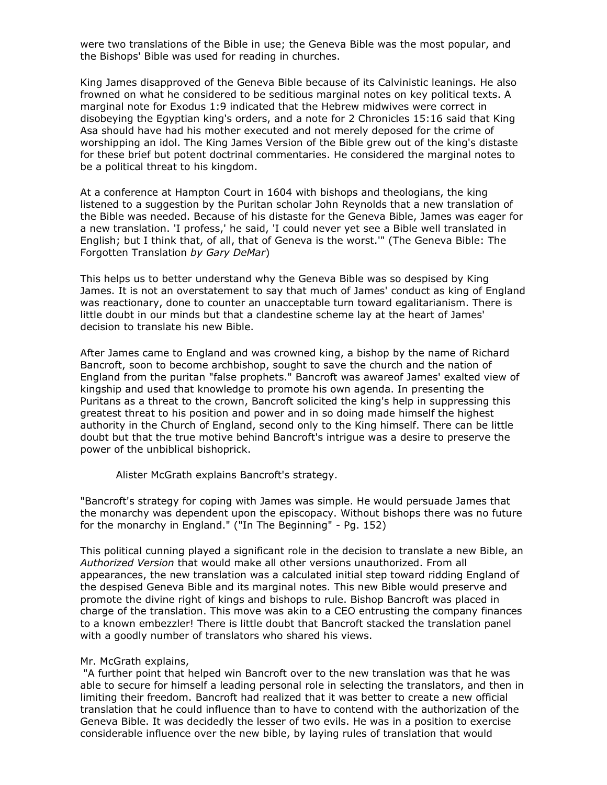were two translations of the Bible in use; the Geneva Bible was the most popular, and the Bishops' Bible was used for reading in churches.

King James disapproved of the Geneva Bible because of its Calvinistic leanings. He also frowned on what he considered to be seditious marginal notes on key political texts. A marginal note for Exodus 1:9 indicated that the Hebrew midwives were correct in disobeying the Egyptian king's orders, and a note for 2 Chronicles 15:16 said that King Asa should have had his mother executed and not merely deposed for the crime of worshipping an idol. The King James Version of the Bible grew out of the king's distaste for these brief but potent doctrinal commentaries. He considered the marginal notes to be a political threat to his kingdom.

At a conference at Hampton Court in 1604 with bishops and theologians, the king listened to a suggestion by the Puritan scholar John Reynolds that a new translation of the Bible was needed. Because of his distaste for the Geneva Bible, James was eager for a new translation. 'I profess,' he said, 'I could never yet see a Bible well translated in English; but I think that, of all, that of Geneva is the worst.'" (The Geneva Bible: The Forgotten Translation *by Gary DeMar*)

This helps us to better understand why the Geneva Bible was so despised by King James. It is not an overstatement to say that much of James' conduct as king of England was reactionary, done to counter an unacceptable turn toward egalitarianism. There is little doubt in our minds but that a clandestine scheme lay at the heart of James' decision to translate his new Bible.

After James came to England and was crowned king, a bishop by the name of Richard Bancroft, soon to become archbishop, sought to save the church and the nation of England from the puritan "false prophets." Bancroft was awareof James' exalted view of kingship and used that knowledge to promote his own agenda. In presenting the Puritans as a threat to the crown, Bancroft solicited the king's help in suppressing this greatest threat to his position and power and in so doing made himself the highest authority in the Church of England, second only to the King himself. There can be little doubt but that the true motive behind Bancroft's intrigue was a desire to preserve the power of the unbiblical bishoprick.

Alister McGrath explains Bancroft's strategy.

"Bancroft's strategy for coping with James was simple. He would persuade James that the monarchy was dependent upon the episcopacy. Without bishops there was no future for the monarchy in England." ("In The Beginning" - Pg. 152)

This political cunning played a significant role in the decision to translate a new Bible, an *Authorized Version* that would make all other versions unauthorized. From all appearances, the new translation was a calculated initial step toward ridding England of the despised Geneva Bible and its marginal notes. This new Bible would preserve and promote the divine right of kings and bishops to rule. Bishop Bancroft was placed in charge of the translation. This move was akin to a CEO entrusting the company finances to a known embezzler! There is little doubt that Bancroft stacked the translation panel with a goodly number of translators who shared his views.

#### Mr. McGrath explains,

"A further point that helped win Bancroft over to the new translation was that he was able to secure for himself a leading personal role in selecting the translators, and then in limiting their freedom. Bancroft had realized that it was better to create a new official translation that he could influence than to have to contend with the authorization of the Geneva Bible. It was decidedly the lesser of two evils. He was in a position to exercise considerable influence over the new bible, by laying rules of translation that would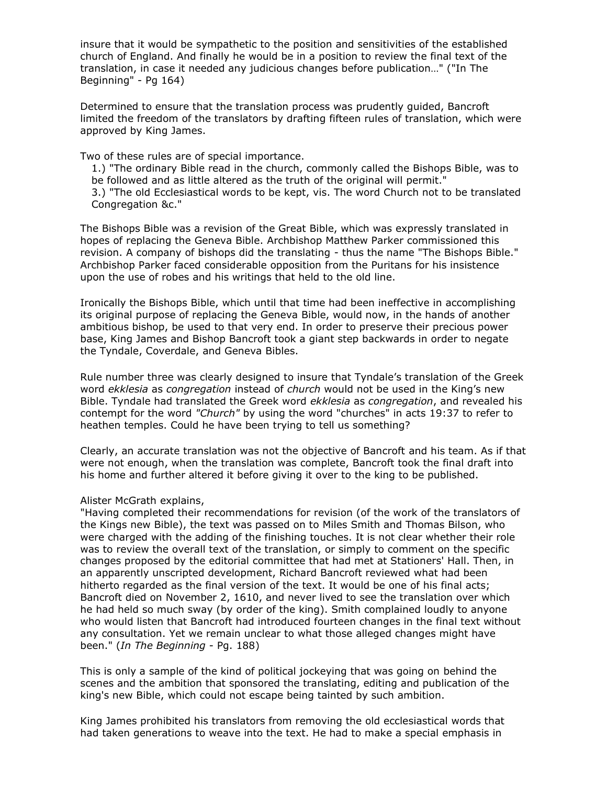insure that it would be sympathetic to the position and sensitivities of the established church of England. And finally he would be in a position to review the final text of the translation, in case it needed any judicious changes before publication…" ("In The Beginning" - Pg 164)

Determined to ensure that the translation process was prudently guided, Bancroft limited the freedom of the translators by drafting fifteen rules of translation, which were approved by King James.

Two of these rules are of special importance.

1.) "The ordinary Bible read in the church, commonly called the Bishops Bible, was to be followed and as little altered as the truth of the original will permit." 3.) "The old Ecclesiastical words to be kept, vis. The word Church not to be translated Congregation &c."

The Bishops Bible was a revision of the Great Bible, which was expressly translated in hopes of replacing the Geneva Bible. Archbishop Matthew Parker commissioned this revision. A company of bishops did the translating - thus the name "The Bishops Bible." Archbishop Parker faced considerable opposition from the Puritans for his insistence upon the use of robes and his writings that held to the old line.

Ironically the Bishops Bible, which until that time had been ineffective in accomplishing its original purpose of replacing the Geneva Bible, would now, in the hands of another ambitious bishop, be used to that very end. In order to preserve their precious power base, King James and Bishop Bancroft took a giant step backwards in order to negate the Tyndale, Coverdale, and Geneva Bibles.

Rule number three was clearly designed to insure that Tyndale's translation of the Greek word *ekklesia* as *congregation* instead of *church* would not be used in the King's new Bible. Tyndale had translated the Greek word *ekklesia* as *congregation*, and revealed his contempt for the word *"Church"* by using the word "churches" in acts 19:37 to refer to heathen temples. Could he have been trying to tell us something?

Clearly, an accurate translation was not the objective of Bancroft and his team. As if that were not enough, when the translation was complete, Bancroft took the final draft into his home and further altered it before giving it over to the king to be published.

#### Alister McGrath explains,

"Having completed their recommendations for revision (of the work of the translators of the Kings new Bible), the text was passed on to Miles Smith and Thomas Bilson, who were charged with the adding of the finishing touches. It is not clear whether their role was to review the overall text of the translation, or simply to comment on the specific changes proposed by the editorial committee that had met at Stationers' Hall. Then, in an apparently unscripted development, Richard Bancroft reviewed what had been hitherto regarded as the final version of the text. It would be one of his final acts; Bancroft died on November 2, 1610, and never lived to see the translation over which he had held so much sway (by order of the king). Smith complained loudly to anyone who would listen that Bancroft had introduced fourteen changes in the final text without any consultation. Yet we remain unclear to what those alleged changes might have been." (*In The Beginning* - Pg. 188)

This is only a sample of the kind of political jockeying that was going on behind the scenes and the ambition that sponsored the translating, editing and publication of the king's new Bible, which could not escape being tainted by such ambition.

King James prohibited his translators from removing the old ecclesiastical words that had taken generations to weave into the text. He had to make a special emphasis in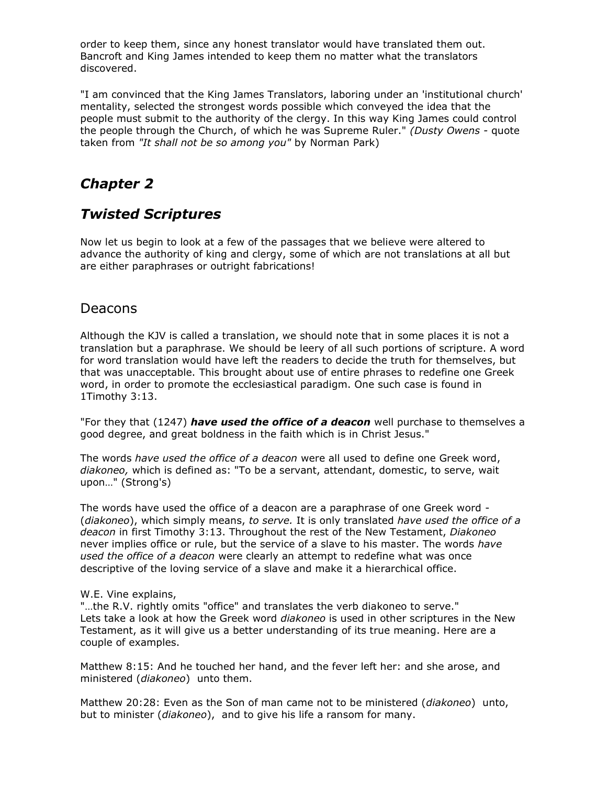order to keep them, since any honest translator would have translated them out. Bancroft and King James intended to keep them no matter what the translators discovered.

"I am convinced that the King James Translators, laboring under an 'institutional church' mentality, selected the strongest words possible which conveyed the idea that the people must submit to the authority of the clergy. In this way King James could control the people through the Church, of which he was Supreme Ruler." *(Dusty Owens -* quote taken from *"It shall not be so among you"* by Norman Park)

# *Chapter 2*

# *Twisted Scriptures*

Now let us begin to look at a few of the passages that we believe were altered to advance the authority of king and clergy, some of which are not translations at all but are either paraphrases or outright fabrications!

## Deacons

Although the KJV is called a translation, we should note that in some places it is not a translation but a paraphrase. We should be leery of all such portions of scripture. A word for word translation would have left the readers to decide the truth for themselves, but that was unacceptable. This brought about use of entire phrases to redefine one Greek word, in order to promote the ecclesiastical paradigm. One such case is found in 1Timothy 3:13.

"For they that (1247) *have used the office of a deacon* well purchase to themselves a good degree, and great boldness in the faith which is in Christ Jesus."

The words *have used the office of a deacon* were all used to define one Greek word, *diakoneo,* which is defined as: "To be a servant, attendant, domestic, to serve, wait upon…" (Strong's)

The words have used the office of a deacon are a paraphrase of one Greek word - (*diakoneo*), which simply means, *to serve.* It is only translated *have used the office of a deacon* in first Timothy 3:13. Throughout the rest of the New Testament, *Diakoneo* never implies office or rule, but the service of a slave to his master. The words *have used the office of a deacon* were clearly an attempt to redefine what was once descriptive of the loving service of a slave and make it a hierarchical office.

#### W.E. Vine explains,

"…the R.V. rightly omits "office" and translates the verb diakoneo to serve." Lets take a look at how the Greek word *diakoneo* is used in other scriptures in the New Testament, as it will give us a better understanding of its true meaning. Here are a couple of examples.

Matthew 8:15: And he touched her hand, and the fever left her: and she arose, and ministered (*diakoneo*) unto them.

Matthew 20:28: Even as the Son of man came not to be ministered (*diakoneo*) unto, but to minister (*diakoneo*), and to give his life a ransom for many.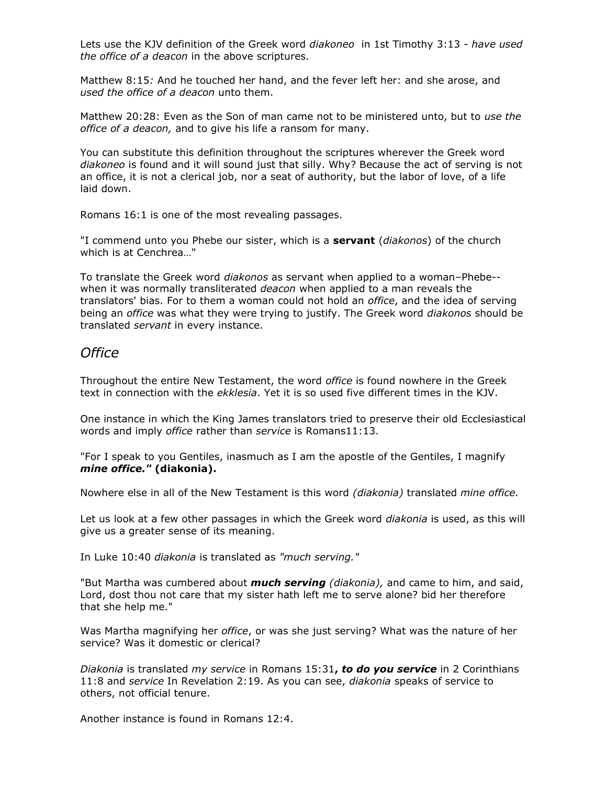Lets use the KJV definition of the Greek word *diakoneo* in 1st Timothy 3:13 - *have used the office of a deacon* in the above scriptures.

Matthew 8:15*:* And he touched her hand, and the fever left her: and she arose, and *used the office of a deacon* unto them.

Matthew 20:28: Even as the Son of man came not to be ministered unto, but to *use the office of a deacon,* and to give his life a ransom for many.

You can substitute this definition throughout the scriptures wherever the Greek word *diakoneo* is found and it will sound just that silly. Why? Because the act of serving is not an office, it is not a clerical job, nor a seat of authority, but the labor of love, of a life laid down.

Romans 16:1 is one of the most revealing passages.

"I commend unto you Phebe our sister, which is a **servant** (*diakonos*) of the church which is at Cenchrea…"

To translate the Greek word *diakonos* as servant when applied to a woman–Phebe*-* when it was normally transliterated *deacon* when applied to a man reveals the translators' bias. For to them a woman could not hold an *office*, and the idea of serving being an *office* was what they were trying to justify. The Greek word *diakonos* should be translated *servant* in every instance.

#### *Office*

Throughout the entire New Testament, the word *office* is found nowhere in the Greek text in connection with the *ekklesia*. Yet it is so used five different times in the KJV.

One instance in which the King James translators tried to preserve their old Ecclesiastical words and imply *office* rather than *service* is Romans11:13.

"For I speak to you Gentiles, inasmuch as I am the apostle of the Gentiles, I magnify *mine office."* **(diakonia).**

Nowhere else in all of the New Testament is this word *(diakonia)* translated *mine office.*

Let us look at a few other passages in which the Greek word *diakonia* is used, as this will give us a greater sense of its meaning.

In Luke 10:40 *diakonia* is translated as *"much serving."*

"But Martha was cumbered about *much serving (diakonia),* and came to him, and said, Lord, dost thou not care that my sister hath left me to serve alone? bid her therefore that she help me."

Was Martha magnifying her *office*, or was she just serving? What was the nature of her service? Was it domestic or clerical?

*Diakonia* is translated *my service* in Romans 15:31**,** *to do you service* in 2 Corinthians 11:8 and *service* In Revelation 2:19. As you can see, *diakonia* speaks of service to others, not official tenure.

Another instance is found in Romans 12:4.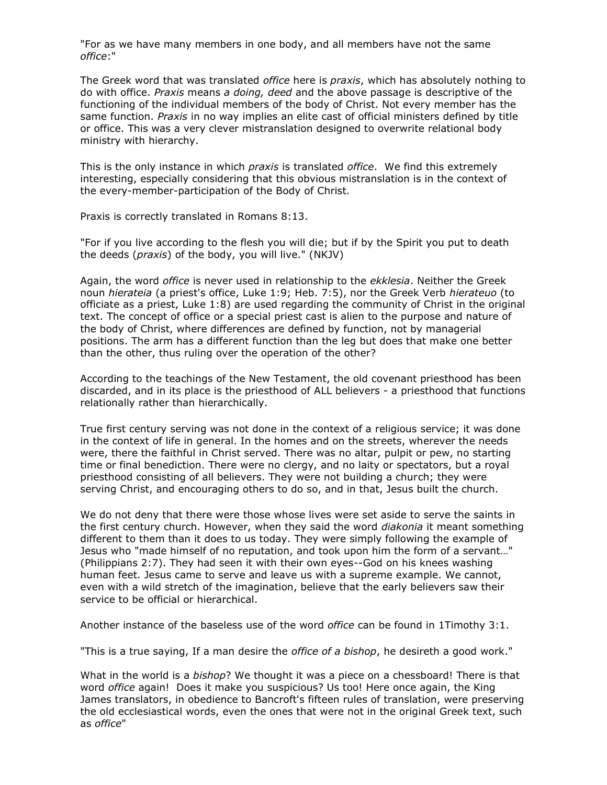"For as we have many members in one body, and all members have not the same *office*:"

The Greek word that was translated *office* here is *praxis*, which has absolutely nothing to do with office. *Praxis* means *a doing, deed* and the above passage is descriptive of the functioning of the individual members of the body of Christ. Not every member has the same function. *Praxis* in no way implies an elite cast of official ministers defined by title or office. This was a very clever mistranslation designed to overwrite relational body ministry with hierarchy.

This is the only instance in which *praxis* is translated *office*. We find this extremely interesting, especially considering that this obvious mistranslation is in the context of the every-member-participation of the Body of Christ.

Praxis is correctly translated in Romans 8:13.

"For if you live according to the flesh you will die; but if by the Spirit you put to death the deeds (*praxis*) of the body, you will live." (NKJV)

Again, the word *office* is never used in relationship to the *ekklesia*. Neither the Greek noun *hierateia* (a priest's office, Luke 1:9; Heb. 7:5), nor the Greek Verb *hierateuo* (to officiate as a priest, Luke 1:8) are used regarding the community of Christ in the original text. The concept of office or a special priest cast is alien to the purpose and nature of the body of Christ, where differences are defined by function, not by managerial positions. The arm has a different function than the leg but does that make one better than the other, thus ruling over the operation of the other?

According to the teachings of the New Testament, the old covenant priesthood has been discarded, and in its place is the priesthood of ALL believers - a priesthood that functions relationally rather than hierarchically.

True first century serving was not done in the context of a religious service; it was done in the context of life in general. In the homes and on the streets, wherever the needs were, there the faithful in Christ served. There was no altar, pulpit or pew, no starting time or final benediction. There were no clergy, and no laity or spectators, but a royal priesthood consisting of all believers. They were not building a church; they were serving Christ, and encouraging others to do so, and in that, Jesus built the church.

We do not deny that there were those whose lives were set aside to serve the saints in the first century church. However, when they said the word *diakonia* it meant something different to them than it does to us today. They were simply following the example of Jesus who "made himself of no reputation, and took upon him the form of a servant…" (Philippians 2:7). They had seen it with their own eyes--God on his knees washing human feet. Jesus came to serve and leave us with a supreme example. We cannot, even with a wild stretch of the imagination, believe that the early believers saw their service to be official or hierarchical.

Another instance of the baseless use of the word *office* can be found in 1Timothy 3:1.

"This is a true saying, If a man desire the *office of a bishop*, he desireth a good work."

What in the world is a *bishop*? We thought it was a piece on a chessboard! There is that word *office* again! Does it make you suspicious? Us too! Here once again, the King James translators, in obedience to Bancroft's fifteen rules of translation, were preserving the old ecclesiastical words, even the ones that were not in the original Greek text, such as *office*"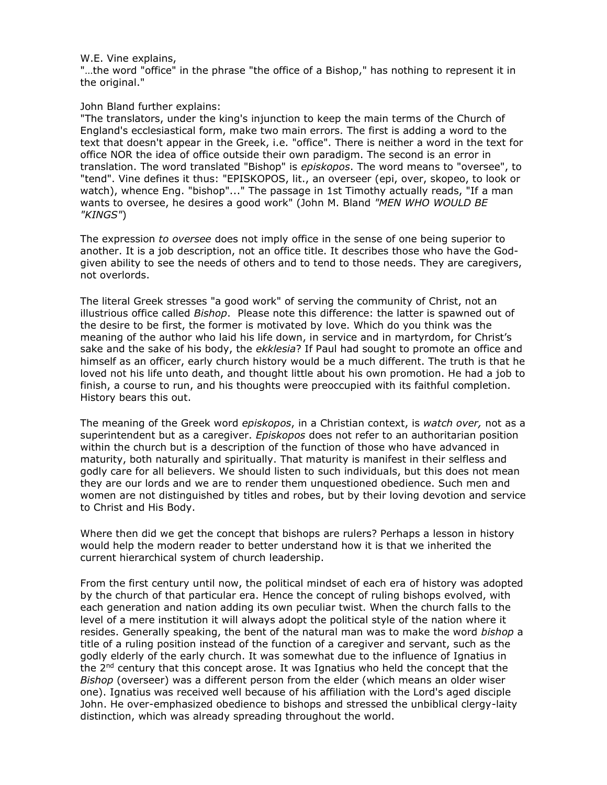#### W.E. Vine explains,

"…the word "office" in the phrase "the office of a Bishop," has nothing to represent it in the original."

#### John Bland further explains:

"The translators, under the king's injunction to keep the main terms of the Church of England's ecclesiastical form, make two main errors. The first is adding a word to the text that doesn't appear in the Greek, i.e. "office". There is neither a word in the text for office NOR the idea of office outside their own paradigm. The second is an error in translation. The word translated "Bishop" is *episkopos*. The word means to "oversee", to "tend". Vine defines it thus: "EPISKOPOS, lit., an overseer (epi, over, skopeo, to look or watch), whence Eng. "bishop"..." The passage in 1st Timothy actually reads, "If a man wants to oversee, he desires a good work" (John M. Bland *"MEN WHO WOULD BE "KINGS"*)

The expression *to oversee* does not imply office in the sense of one being superior to another. It is a job description, not an office title. It describes those who have the Godgiven ability to see the needs of others and to tend to those needs. They are caregivers, not overlords.

The literal Greek stresses "a good work" of serving the community of Christ, not an illustrious office called *Bishop*. Please note this difference: the latter is spawned out of the desire to be first, the former is motivated by love. Which do you think was the meaning of the author who laid his life down, in service and in martyrdom, for Christ's sake and the sake of his body, the *ekklesia*? If Paul had sought to promote an office and himself as an officer, early church history would be a much different. The truth is that he loved not his life unto death, and thought little about his own promotion. He had a job to finish, a course to run, and his thoughts were preoccupied with its faithful completion. History bears this out.

The meaning of the Greek word *episkopos*, in a Christian context, is *watch over,* not as a superintendent but as a caregiver. *Episkopos* does not refer to an authoritarian position within the church but is a description of the function of those who have advanced in maturity, both naturally and spiritually. That maturity is manifest in their selfless and godly care for all believers. We should listen to such individuals, but this does not mean they are our lords and we are to render them unquestioned obedience. Such men and women are not distinguished by titles and robes, but by their loving devotion and service to Christ and His Body.

Where then did we get the concept that bishops are rulers? Perhaps a lesson in history would help the modern reader to better understand how it is that we inherited the current hierarchical system of church leadership.

From the first century until now, the political mindset of each era of history was adopted by the church of that particular era. Hence the concept of ruling bishops evolved, with each generation and nation adding its own peculiar twist. When the church falls to the level of a mere institution it will always adopt the political style of the nation where it resides. Generally speaking, the bent of the natural man was to make the word *bishop* a title of a ruling position instead of the function of a caregiver and servant, such as the godly elderly of the early church. It was somewhat due to the influence of Ignatius in the  $2^{nd}$  century that this concept arose. It was Ignatius who held the concept that the *Bishop* (overseer) was a different person from the elder (which means an older wiser one). Ignatius was received well because of his affiliation with the Lord's aged disciple John. He over-emphasized obedience to bishops and stressed the unbiblical clergy-laity distinction, which was already spreading throughout the world.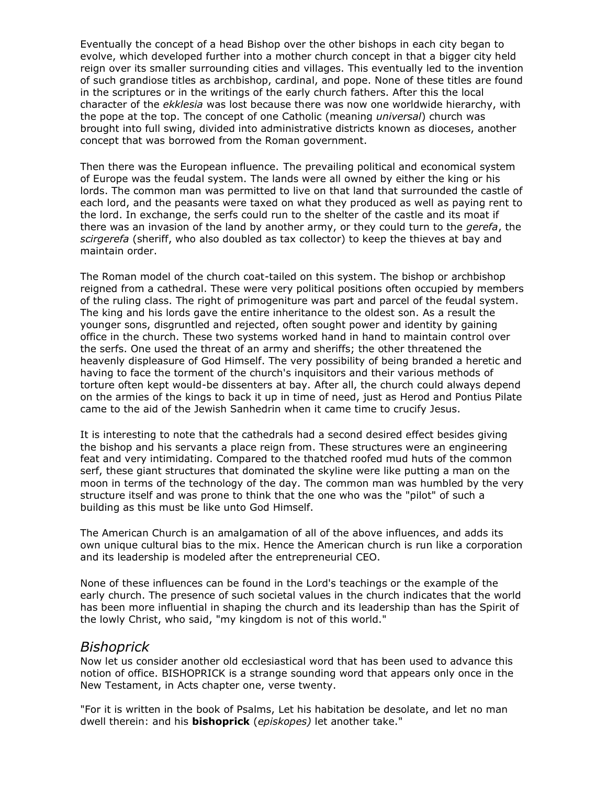Eventually the concept of a head Bishop over the other bishops in each city began to evolve, which developed further into a mother church concept in that a bigger city held reign over its smaller surrounding cities and villages. This eventually led to the invention of such grandiose titles as archbishop, cardinal, and pope. None of these titles are found in the scriptures or in the writings of the early church fathers. After this the local character of the *ekklesia* was lost because there was now one worldwide hierarchy, with the pope at the top. The concept of one Catholic (meaning *universal*) church was brought into full swing, divided into administrative districts known as dioceses, another concept that was borrowed from the Roman government.

Then there was the European influence. The prevailing political and economical system of Europe was the feudal system. The lands were all owned by either the king or his lords. The common man was permitted to live on that land that surrounded the castle of each lord, and the peasants were taxed on what they produced as well as paying rent to the lord. In exchange, the serfs could run to the shelter of the castle and its moat if there was an invasion of the land by another army, or they could turn to the *gerefa*, the *scirgerefa* (sheriff, who also doubled as tax collector) to keep the thieves at bay and maintain order.

The Roman model of the church coat-tailed on this system. The bishop or archbishop reigned from a cathedral. These were very political positions often occupied by members of the ruling class. The right of primogeniture was part and parcel of the feudal system. The king and his lords gave the entire inheritance to the oldest son. As a result the younger sons, disgruntled and rejected, often sought power and identity by gaining office in the church. These two systems worked hand in hand to maintain control over the serfs. One used the threat of an army and sheriffs; the other threatened the heavenly displeasure of God Himself. The very possibility of being branded a heretic and having to face the torment of the church's inquisitors and their various methods of torture often kept would-be dissenters at bay. After all, the church could always depend on the armies of the kings to back it up in time of need, just as Herod and Pontius Pilate came to the aid of the Jewish Sanhedrin when it came time to crucify Jesus.

It is interesting to note that the cathedrals had a second desired effect besides giving the bishop and his servants a place reign from. These structures were an engineering feat and very intimidating. Compared to the thatched roofed mud huts of the common serf, these giant structures that dominated the skyline were like putting a man on the moon in terms of the technology of the day. The common man was humbled by the very structure itself and was prone to think that the one who was the "pilot" of such a building as this must be like unto God Himself.

The American Church is an amalgamation of all of the above influences, and adds its own unique cultural bias to the mix. Hence the American church is run like a corporation and its leadership is modeled after the entrepreneurial CEO.

None of these influences can be found in the Lord's teachings or the example of the early church. The presence of such societal values in the church indicates that the world has been more influential in shaping the church and its leadership than has the Spirit of the lowly Christ, who said, "my kingdom is not of this world."

#### *Bishoprick*

Now let us consider another old ecclesiastical word that has been used to advance this notion of office. BISHOPRICK is a strange sounding word that appears only once in the New Testament, in Acts chapter one, verse twenty.

"For it is written in the book of Psalms, Let his habitation be desolate, and let no man dwell therein: and his **bishoprick** (*episkopes)* let another take."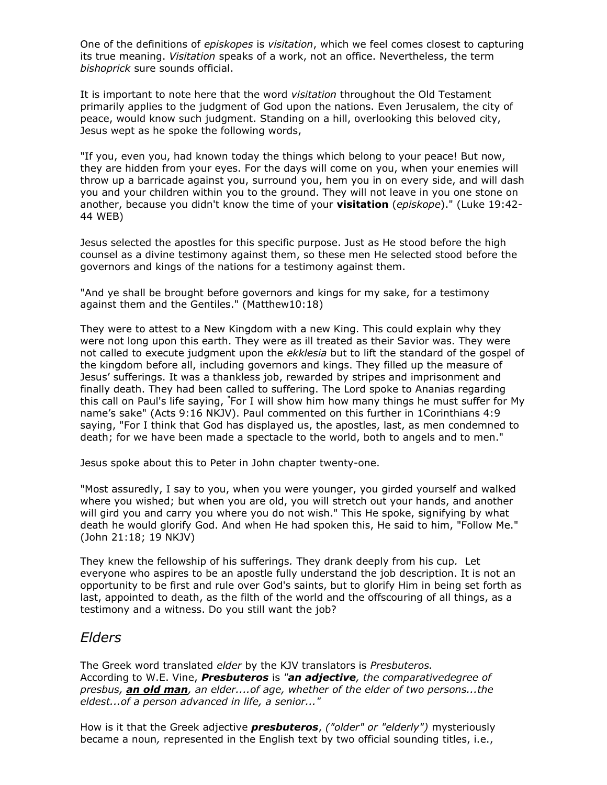One of the definitions of *episkopes* is *visitation*, which we feel comes closest to capturing its true meaning. *Visitation* speaks of a work, not an office. Nevertheless, the term *bishoprick* sure sounds official.

It is important to note here that the word *visitation* throughout the Old Testament primarily applies to the judgment of God upon the nations. Even Jerusalem, the city of peace, would know such judgment. Standing on a hill, overlooking this beloved city, Jesus wept as he spoke the following words,

"If you, even you, had known today the things which belong to your peace! But now, they are hidden from your eyes. For the days will come on you, when your enemies will throw up a barricade against you, surround you, hem you in on every side, and will dash you and your children within you to the ground. They will not leave in you one stone on another, because you didn't know the time of your **visitation** (*episkope*)." (Luke 19:42- 44 WEB)

Jesus selected the apostles for this specific purpose. Just as He stood before the high counsel as a divine testimony against them, so these men He selected stood before the governors and kings of the nations for a testimony against them.

"And ye shall be brought before governors and kings for my sake, for a testimony against them and the Gentiles." (Matthew10:18)

They were to attest to a New Kingdom with a new King. This could explain why they were not long upon this earth. They were as ill treated as their Savior was. They were not called to execute judgment upon the *ekklesia* but to lift the standard of the gospel of the kingdom before all, including governors and kings. They filled up the measure of Jesus' sufferings. It was a thankless job, rewarded by stripes and imprisonment and finally death. They had been called to suffering. The Lord spoke to Ananias regarding this call on Paul's life saying, "For I will show him how many things he must suffer for My name's sake" (Acts 9:16 NKJV). Paul commented on this further in 1Corinthians 4:9 saying, "For I think that God has displayed us, the apostles, last, as men condemned to death; for we have been made a spectacle to the world, both to angels and to men."

Jesus spoke about this to Peter in John chapter twenty-one.

"Most assuredly, I say to you, when you were younger, you girded yourself and walked where you wished; but when you are old, you will stretch out your hands, and another will gird you and carry you where you do not wish." This He spoke, signifying by what death he would glorify God. And when He had spoken this, He said to him, "Follow Me." (John 21:18; 19 NKJV)

They knew the fellowship of his sufferings*.* They drank deeply from his cup*.* Let everyone who aspires to be an apostle fully understand the job description. It is not an opportunity to be first and rule over God's saints, but to glorify Him in being set forth as last, appointed to death, as the filth of the world and the offscouring of all things, as a testimony and a witness. Do you still want the job?

## *Elders*

The Greek word translated *elder* by the KJV translators is *Presbuteros.* According to W.E. Vine, *Presbuteros* is *"an adjective, the comparativedegree of presbus, an old man, an elder....of age, whether of the elder of two persons...the eldest...of a person advanced in life, a senior..."*

How is it that the Greek adjective *presbuteros*, *("older" or "elderly")* mysteriously became a noun*,* represented in the English text by two official sounding titles, i.e.,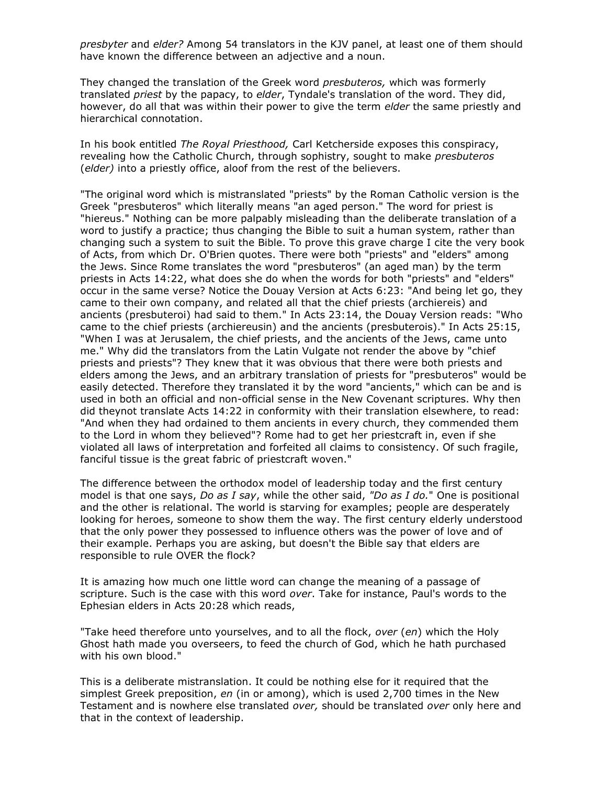*presbyter* and *elder?* Among 54 translators in the KJV panel, at least one of them should have known the difference between an adjective and a noun.

They changed the translation of the Greek word *presbuteros,* which was formerly translated *priest* by the papacy, to *elder*, Tyndale's translation of the word. They did, however, do all that was within their power to give the term *elder* the same priestly and hierarchical connotation.

In his book entitled *The Royal Priesthood,* Carl Ketcherside exposes this conspiracy, revealing how the Catholic Church, through sophistry, sought to make *presbuteros* (*elder)* into a priestly office, aloof from the rest of the believers.

"The original word which is mistranslated "priests" by the Roman Catholic version is the Greek "presbuteros" which literally means "an aged person." The word for priest is "hiereus." Nothing can be more palpably misleading than the deliberate translation of a word to justify a practice; thus changing the Bible to suit a human system, rather than changing such a system to suit the Bible. To prove this grave charge I cite the very book of Acts, from which Dr. O'Brien quotes. There were both "priests" and "elders" among the Jews. Since Rome translates the word "presbuteros" (an aged man) by the term priests in Acts 14:22, what does she do when the words for both "priests" and "elders" occur in the same verse? Notice the Douay Version at Acts 6:23: "And being let go, they came to their own company, and related all that the chief priests (archiereis) and ancients (presbuteroi) had said to them." In Acts 23:14, the Douay Version reads: "Who came to the chief priests (archiereusin) and the ancients (presbuterois)." In Acts 25:15, "When I was at Jerusalem, the chief priests, and the ancients of the Jews, came unto me." Why did the translators from the Latin Vulgate not render the above by "chief priests and priests"? They knew that it was obvious that there were both priests and elders among the Jews, and an arbitrary translation of priests for "presbuteros" would be easily detected. Therefore they translated it by the word "ancients," which can be and is used in both an official and non-official sense in the New Covenant scriptures. Why then did theynot translate Acts 14:22 in conformity with their translation elsewhere, to read: "And when they had ordained to them ancients in every church, they commended them to the Lord in whom they believed"? Rome had to get her priestcraft in, even if she violated all laws of interpretation and forfeited all claims to consistency. Of such fragile, fanciful tissue is the great fabric of priestcraft woven."

The difference between the orthodox model of leadership today and the first century model is that one says, *Do as I say*, while the other said, *"Do as I do.*" One is positional and the other is relational. The world is starving for examples; people are desperately looking for heroes, someone to show them the way. The first century elderly understood that the only power they possessed to influence others was the power of love and of their example. Perhaps you are asking, but doesn't the Bible say that elders are responsible to rule OVER the flock?

It is amazing how much one little word can change the meaning of a passage of scripture. Such is the case with this word *over*. Take for instance, Paul's words to the Ephesian elders in Acts 20:28 which reads,

"Take heed therefore unto yourselves, and to all the flock, *over* (*en*) which the Holy Ghost hath made you overseers, to feed the church of God, which he hath purchased with his own blood."

This is a deliberate mistranslation. It could be nothing else for it required that the simplest Greek preposition, *en* (in or among), which is used 2,700 times in the New Testament and is nowhere else translated *over,* should be translated *over* only here and that in the context of leadership.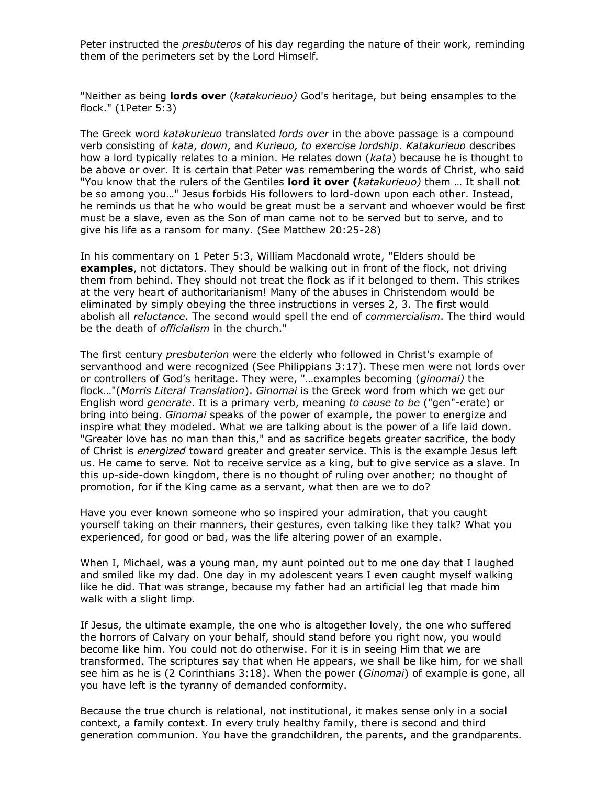Peter instructed the *presbuteros* of his day regarding the nature of their work, reminding them of the perimeters set by the Lord Himself.

"Neither as being **lords over** (*katakurieuo)* God's heritage, but being ensamples to the flock." (1Peter 5:3)

The Greek word *katakurieuo* translated *lords over* in the above passage is a compound verb consisting of *kata*, *down*, and *Kurieuo, to exercise lordship*. *Katakurieuo* describes how a lord typically relates to a minion. He relates down (*kata*) because he is thought to be above or over. It is certain that Peter was remembering the words of Christ, who said "You know that the rulers of the Gentiles **lord it over (***katakurieuo)* them … It shall not be so among you…" Jesus forbids His followers to lord-down upon each other. Instead, he reminds us that he who would be great must be a servant and whoever would be first must be a slave, even as the Son of man came not to be served but to serve, and to give his life as a ransom for many. (See Matthew 20:25-28)

In his commentary on 1 Peter 5:3, William Macdonald wrote, "Elders should be **examples**, not dictators. They should be walking out in front of the flock, not driving them from behind. They should not treat the flock as if it belonged to them. This strikes at the very heart of authoritarianism! Many of the abuses in Christendom would be eliminated by simply obeying the three instructions in verses 2, 3. The first would abolish all *reluctance*. The second would spell the end of *commercialism*. The third would be the death of *officialism* in the church."

The first century *presbuterion* were the elderly who followed in Christ's example of servanthood and were recognized (See Philippians 3:17). These men were not lords over or controllers of God's heritage. They were, "…examples becoming (*ginomai)* the flock…"(*Morris Literal Translation*). *Ginomai* is the Greek word from which we get our English word *generate*. It is a primary verb, meaning *to cause to be* ("gen"-erate) or bring into being. *Ginomai* speaks of the power of example, the power to energize and inspire what they modeled. What we are talking about is the power of a life laid down. "Greater love has no man than this," and as sacrifice begets greater sacrifice, the body of Christ is *energized* toward greater and greater service. This is the example Jesus left us. He came to serve. Not to receive service as a king, but to give service as a slave. In this up-side-down kingdom, there is no thought of ruling over another; no thought of promotion, for if the King came as a servant, what then are we to do?

Have you ever known someone who so inspired your admiration, that you caught yourself taking on their manners, their gestures, even talking like they talk? What you experienced, for good or bad, was the life altering power of an example.

When I, Michael, was a young man, my aunt pointed out to me one day that I laughed and smiled like my dad. One day in my adolescent years I even caught myself walking like he did. That was strange, because my father had an artificial leg that made him walk with a slight limp.

If Jesus, the ultimate example, the one who is altogether lovely, the one who suffered the horrors of Calvary on your behalf, should stand before you right now, you would become like him. You could not do otherwise. For it is in seeing Him that we are transformed. The scriptures say that when He appears, we shall be like him, for we shall see him as he is (2 Corinthians 3:18). When the power (*Ginomai*) of example is gone, all you have left is the tyranny of demanded conformity.

Because the true church is relational, not institutional, it makes sense only in a social context, a family context. In every truly healthy family, there is second and third generation communion. You have the grandchildren, the parents, and the grandparents.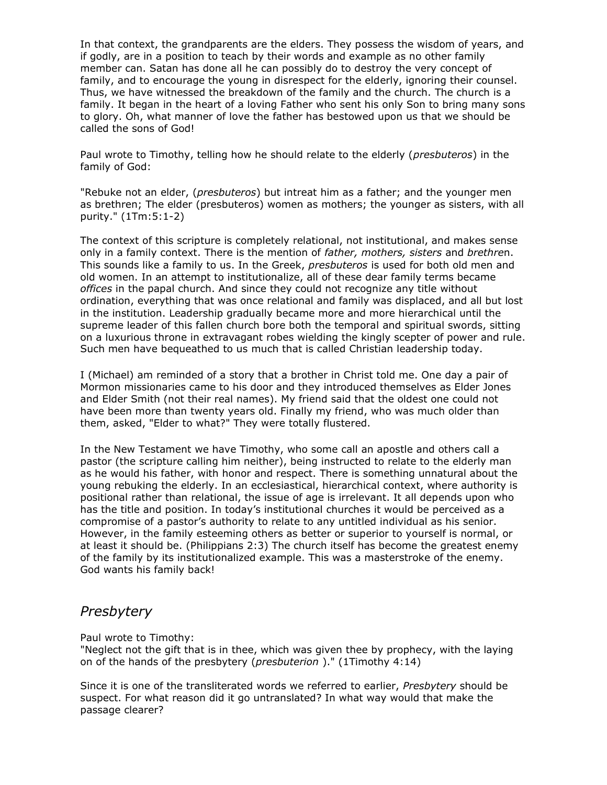In that context, the grandparents are the elders. They possess the wisdom of years, and if godly, are in a position to teach by their words and example as no other family member can. Satan has done all he can possibly do to destroy the very concept of family, and to encourage the young in disrespect for the elderly, ignoring their counsel. Thus, we have witnessed the breakdown of the family and the church. The church is a family. It began in the heart of a loving Father who sent his only Son to bring many sons to glory. Oh, what manner of love the father has bestowed upon us that we should be called the sons of God!

Paul wrote to Timothy, telling how he should relate to the elderly (*presbuteros*) in the family of God:

"Rebuke not an elder, (*presbuteros*) but intreat him as a father; and the younger men as brethren; The elder (presbuteros) women as mothers; the younger as sisters, with all purity." (1Tm:5:1-2)

The context of this scripture is completely relational, not institutional, and makes sense only in a family context. There is the mention of *father, mothers, sisters* and *brethre*n. This sounds like a family to us. In the Greek, *presbuteros* is used for both old men and old women. In an attempt to institutionalize, all of these dear family terms became *offices* in the papal church. And since they could not recognize any title without ordination, everything that was once relational and family was displaced, and all but lost in the institution. Leadership gradually became more and more hierarchical until the supreme leader of this fallen church bore both the temporal and spiritual swords, sitting on a luxurious throne in extravagant robes wielding the kingly scepter of power and rule. Such men have bequeathed to us much that is called Christian leadership today.

I (Michael) am reminded of a story that a brother in Christ told me. One day a pair of Mormon missionaries came to his door and they introduced themselves as Elder Jones and Elder Smith (not their real names). My friend said that the oldest one could not have been more than twenty years old. Finally my friend, who was much older than them, asked, "Elder to what?" They were totally flustered.

In the New Testament we have Timothy, who some call an apostle and others call a pastor (the scripture calling him neither), being instructed to relate to the elderly man as he would his father, with honor and respect. There is something unnatural about the young rebuking the elderly. In an ecclesiastical, hierarchical context, where authority is positional rather than relational, the issue of age is irrelevant. It all depends upon who has the title and position. In today's institutional churches it would be perceived as a compromise of a pastor's authority to relate to any untitled individual as his senior. However, in the family esteeming others as better or superior to yourself is normal, or at least it should be. (Philippians 2:3) The church itself has become the greatest enemy of the family by its institutionalized example. This was a masterstroke of the enemy. God wants his family back!

## *Presbytery*

Paul wrote to Timothy:

"Neglect not the gift that is in thee, which was given thee by prophecy, with the laying on of the hands of the presbytery (*presbuterion* )." (1Timothy 4:14)

Since it is one of the transliterated words we referred to earlier, *Presbytery* should be suspect. For what reason did it go untranslated? In what way would that make the passage clearer?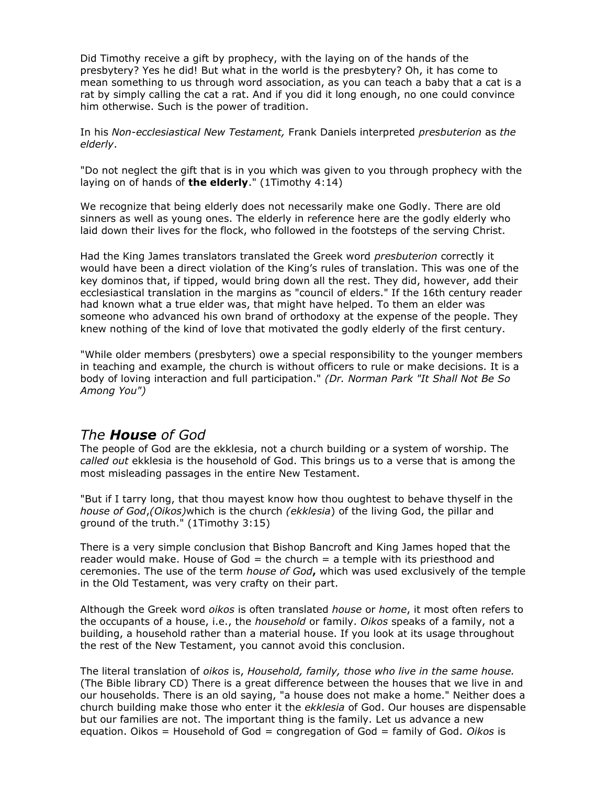Did Timothy receive a gift by prophecy, with the laying on of the hands of the presbytery? Yes he did! But what in the world is the presbytery? Oh, it has come to mean something to us through word association, as you can teach a baby that a cat is a rat by simply calling the cat a rat. And if you did it long enough, no one could convince him otherwise. Such is the power of tradition.

In his *Non-ecclesiastical New Testament,* Frank Daniels interpreted *presbuterion* as *the elderly*.

"Do not neglect the gift that is in you which was given to you through prophecy with the laying on of hands of **the elderly**." (1Timothy 4:14)

We recognize that being elderly does not necessarily make one Godly. There are old sinners as well as young ones. The elderly in reference here are the godly elderly who laid down their lives for the flock, who followed in the footsteps of the serving Christ.

Had the King James translators translated the Greek word *presbuterion* correctly it would have been a direct violation of the King's rules of translation. This was one of the key dominos that, if tipped, would bring down all the rest. They did, however, add their ecclesiastical translation in the margins as "council of elders." If the 16th century reader had known what a true elder was, that might have helped. To them an elder was someone who advanced his own brand of orthodoxy at the expense of the people. They knew nothing of the kind of love that motivated the godly elderly of the first century.

"While older members (presbyters) owe a special responsibility to the younger members in teaching and example, the church is without officers to rule or make decisions. It is a body of loving interaction and full participation." *(Dr. Norman Park "It Shall Not Be So Among You")*

## *The House of God*

The people of God are the ekklesia, not a church building or a system of worship. The *called out* ekklesia is the household of God. This brings us to a verse that is among the most misleading passages in the entire New Testament.

"But if I tarry long, that thou mayest know how thou oughtest to behave thyself in the *house of God*,*(Oikos)*which is the church *(ekklesia*) of the living God, the pillar and ground of the truth." (1Timothy 3:15)

There is a very simple conclusion that Bishop Bancroft and King James hoped that the reader would make. House of God  $=$  the church  $=$  a temple with its priesthood and ceremonies. The use of the term *house of God***,** which was used exclusively of the temple in the Old Testament, was very crafty on their part.

Although the Greek word *oikos* is often translated *house* or *home*, it most often refers to the occupants of a house, i.e., the *household* or family. *Oikos* speaks of a family, not a building, a household rather than a material house. If you look at its usage throughout the rest of the New Testament, you cannot avoid this conclusion.

The literal translation of *oikos* is, *Household, family, those who live in the same house.* (The Bible library CD) There is a great difference between the houses that we live in and our households. There is an old saying, "a house does not make a home." Neither does a church building make those who enter it the *ekklesia* of God. Our houses are dispensable but our families are not. The important thing is the family. Let us advance a new equation. Oikos = Household of God = congregation of God = family of God. *Oikos* is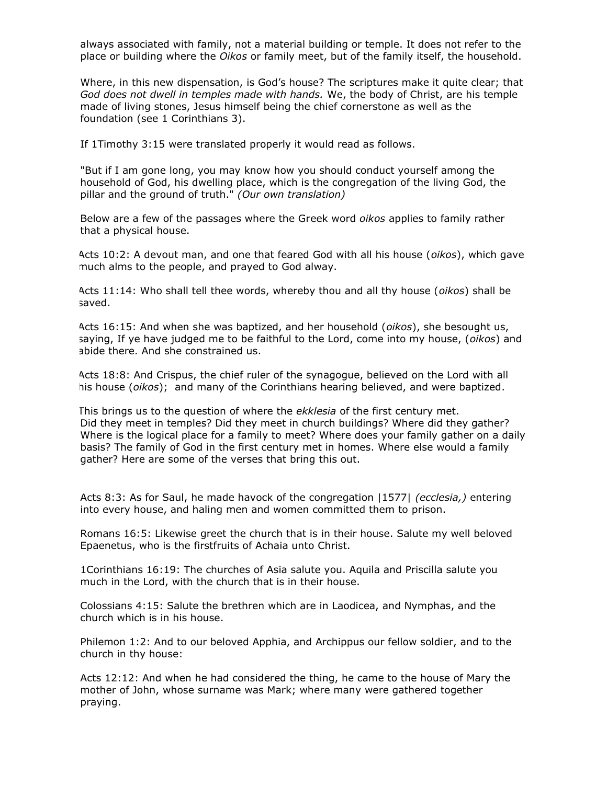always associated with family, not a material building or temple. It does not refer to the place or building where the *Oikos* or family meet, but of the family itself, the household.

Where, in this new dispensation, is God's house? The scriptures make it quite clear; that *God does not dwell in temples made with hands.* We, the body of Christ, are his temple made of living stones, Jesus himself being the chief cornerstone as well as the foundation (see 1 Corinthians 3).

If 1Timothy 3:15 were translated properly it would read as follows.

"But if I am gone long, you may know how you should conduct yourself among the household of God, his dwelling place, which is the congregation of the living God, the pillar and the ground of truth." *(Our own translation)*

Below are a few of the passages where the Greek word *oikos* applies to family rather that a physical house.

Acts 10:2: A devout man, and one that feared God with all his house (*oikos*), which gave much alms to the people, and prayed to God alway.

Acts 11:14: Who shall tell thee words, whereby thou and all thy house (*oikos*) shall be saved.

Acts 16:15: And when she was baptized, and her household (*oikos*), she besought us, saying, If ye have judged me to be faithful to the Lord, come into my house, (*oikos*) and abide there. And she constrained us.

Acts 18:8: And Crispus, the chief ruler of the synagogue, believed on the Lord with all his house (*oikos*); and many of the Corinthians hearing believed, and were baptized.

This brings us to the question of where the *ekklesia* of the first century met. Did they meet in temples? Did they meet in church buildings? Where did they gather? Where is the logical place for a family to meet? Where does your family gather on a daily basis? The family of God in the first century met in homes. Where else would a family gather? Here are some of the verses that bring this out.

Acts 8:3: As for Saul, he made havock of the congregation |1577| *(ecclesia,)* entering into every house, and haling men and women committed them to prison.

Romans 16:5: Likewise greet the church that is in their house. Salute my well beloved Epaenetus, who is the firstfruits of Achaia unto Christ.

1Corinthians 16:19: The churches of Asia salute you. Aquila and Priscilla salute you much in the Lord, with the church that is in their house.

Colossians 4:15: Salute the brethren which are in Laodicea, and Nymphas, and the church which is in his house.

Philemon 1:2: And to our beloved Apphia, and Archippus our fellow soldier, and to the church in thy house:

Acts 12:12: And when he had considered the thing, he came to the house of Mary the mother of John, whose surname was Mark; where many were gathered together praying.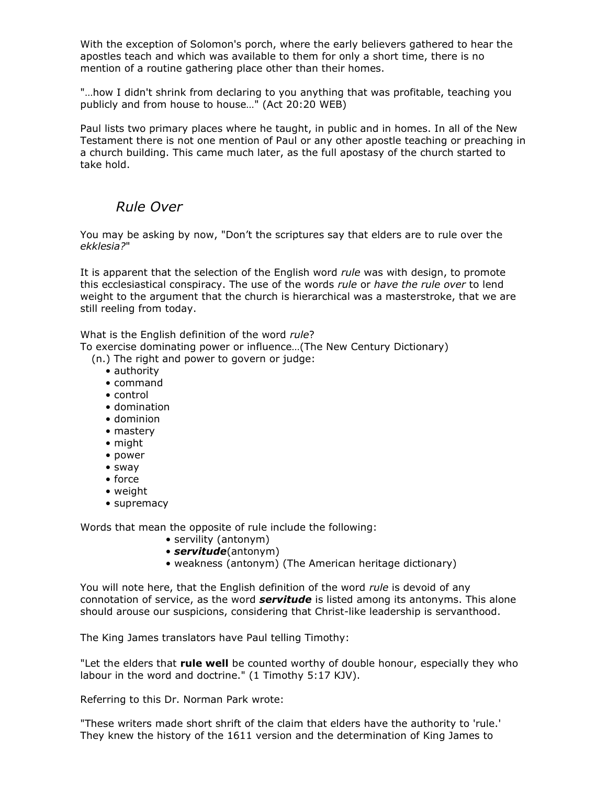With the exception of Solomon's porch, where the early believers gathered to hear the apostles teach and which was available to them for only a short time, there is no mention of a routine gathering place other than their homes.

"…how I didn't shrink from declaring to you anything that was profitable, teaching you publicly and from house to house…" (Act 20:20 WEB)

Paul lists two primary places where he taught, in public and in homes. In all of the New Testament there is not one mention of Paul or any other apostle teaching or preaching in a church building. This came much later, as the full apostasy of the church started to take hold.

## *Rule Over*

You may be asking by now, "Don't the scriptures say that elders are to rule over the *ekklesia?*"

It is apparent that the selection of the English word *rule* was with design, to promote this ecclesiastical conspiracy. The use of the words *rule* or *have the rule over* to lend weight to the argument that the church is hierarchical was a masterstroke, that we are still reeling from today.

What is the English definition of the word *rule*?

To exercise dominating power or influence…(The New Century Dictionary)

(n.) The right and power to govern or judge:

- authority
- command
- control
- domination
- dominion
- mastery
- might
- power
- sway
- force
- weight
- supremacy

Words that mean the opposite of rule include the following:

- servility (antonym)
- *servitude*(antonym)
- weakness (antonym) (The American heritage dictionary)

You will note here, that the English definition of the word *rule* is devoid of any connotation of service, as the word *servitude* is listed among its antonyms. This alone should arouse our suspicions, considering that Christ-like leadership is servanthood.

The King James translators have Paul telling Timothy:

"Let the elders that **rule well** be counted worthy of double honour, especially they who labour in the word and doctrine." (1 Timothy 5:17 KJV).

Referring to this Dr. Norman Park wrote:

"These writers made short shrift of the claim that elders have the authority to 'rule.' They knew the history of the 1611 version and the determination of King James to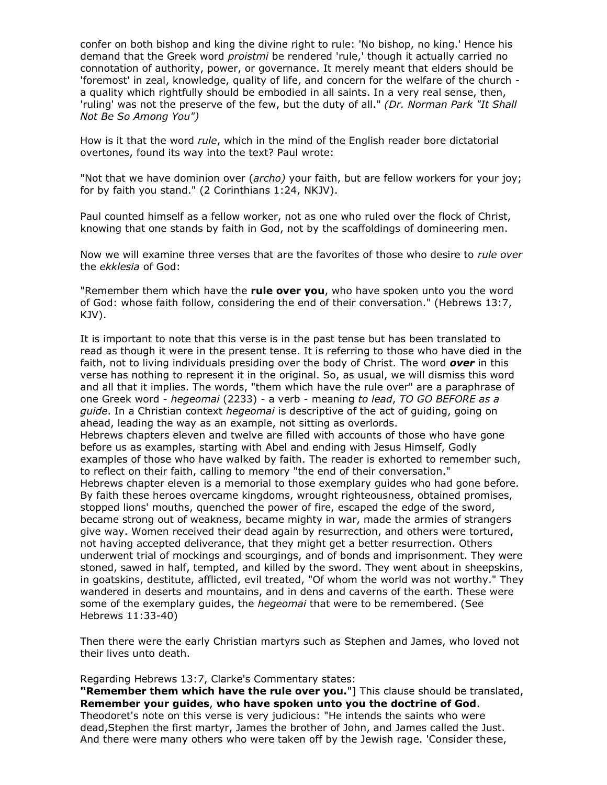confer on both bishop and king the divine right to rule: 'No bishop, no king.' Hence his demand that the Greek word *proistmi* be rendered 'rule,' though it actually carried no connotation of authority, power, or governance. It merely meant that elders should be 'foremost' in zeal, knowledge, quality of life, and concern for the welfare of the church a quality which rightfully should be embodied in all saints. In a very real sense, then, 'ruling' was not the preserve of the few, but the duty of all." *(Dr. Norman Park "It Shall Not Be So Among You")*

How is it that the word *rule*, which in the mind of the English reader bore dictatorial overtones, found its way into the text? Paul wrote:

"Not that we have dominion over (*archo)* your faith, but are fellow workers for your joy; for by faith you stand." (2 Corinthians 1:24, NKJV).

Paul counted himself as a fellow worker, not as one who ruled over the flock of Christ, knowing that one stands by faith in God, not by the scaffoldings of domineering men.

Now we will examine three verses that are the favorites of those who desire to *rule over* the *ekklesia* of God:

"Remember them which have the **rule over you**, who have spoken unto you the word of God: whose faith follow, considering the end of their conversation." (Hebrews 13:7, KJV).

It is important to note that this verse is in the past tense but has been translated to read as though it were in the present tense. It is referring to those who have died in the faith, not to living individuals presiding over the body of Christ. The word *over* in this verse has nothing to represent it in the original. So, as usual, we will dismiss this word and all that it implies. The words, "them which have the rule over" are a paraphrase of one Greek word - *hegeomai* (2233) - a verb - meaning *to lead*, *TO GO BEFORE as a guide*. In a Christian context *hegeomai* is descriptive of the act of guiding, going on ahead, leading the way as an example, not sitting as overlords. Hebrews chapters eleven and twelve are filled with accounts of those who have gone before us as examples, starting with Abel and ending with Jesus Himself, Godly examples of those who have walked by faith. The reader is exhorted to remember such, to reflect on their faith, calling to memory "the end of their conversation." Hebrews chapter eleven is a memorial to those exemplary guides who had gone before. By faith these heroes overcame kingdoms, wrought righteousness, obtained promises, stopped lions' mouths, quenched the power of fire, escaped the edge of the sword, became strong out of weakness, became mighty in war, made the armies of strangers give way. Women received their dead again by resurrection, and others were tortured, not having accepted deliverance, that they might get a better resurrection. Others underwent trial of mockings and scourgings, and of bonds and imprisonment. They were stoned, sawed in half, tempted, and killed by the sword. They went about in sheepskins, in goatskins, destitute, afflicted, evil treated, "Of whom the world was not worthy." They wandered in deserts and mountains, and in dens and caverns of the earth. These were some of the exemplary guides, the *hegeomai* that were to be remembered. (See Hebrews 11:33-40)

Then there were the early Christian martyrs such as Stephen and James, who loved not their lives unto death.

Regarding Hebrews 13:7, Clarke's Commentary states:

**"Remember them which have the rule over you.**"] This clause should be translated, **Remember your guides**, **who have spoken unto you the doctrine of God**. Theodoret's note on this verse is very judicious: "He intends the saints who were dead,Stephen the first martyr, James the brother of John, and James called the Just. And there were many others who were taken off by the Jewish rage. 'Consider these,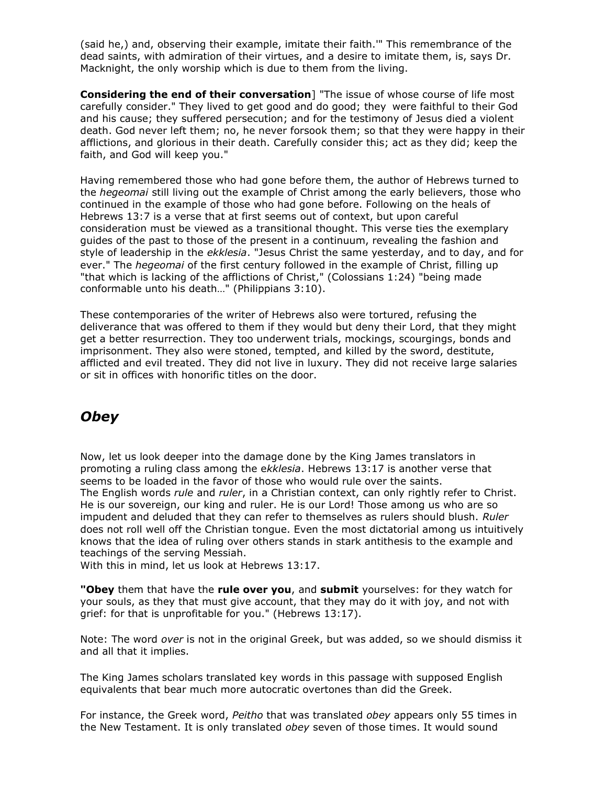(said he,) and, observing their example, imitate their faith.'" This remembrance of the dead saints, with admiration of their virtues, and a desire to imitate them, is, says Dr. Macknight, the only worship which is due to them from the living.

**Considering the end of their conversation**] "The issue of whose course of life most carefully consider." They lived to get good and do good; they were faithful to their God and his cause; they suffered persecution; and for the testimony of Jesus died a violent death. God never left them; no, he never forsook them; so that they were happy in their afflictions, and glorious in their death. Carefully consider this; act as they did; keep the faith, and God will keep you."

Having remembered those who had gone before them, the author of Hebrews turned to the *hegeomai* still living out the example of Christ among the early believers, those who continued in the example of those who had gone before. Following on the heals of Hebrews 13:7 is a verse that at first seems out of context, but upon careful consideration must be viewed as a transitional thought. This verse ties the exemplary guides of the past to those of the present in a continuum, revealing the fashion and style of leadership in the *ekklesia*. "Jesus Christ the same yesterday, and to day, and for ever." The *hegeomai* of the first century followed in the example of Christ, filling up "that which is lacking of the afflictions of Christ," (Colossians 1:24) "being made conformable unto his death…" (Philippians 3:10).

These contemporaries of the writer of Hebrews also were tortured, refusing the deliverance that was offered to them if they would but deny their Lord, that they might get a better resurrection. They too underwent trials, mockings, scourgings, bonds and imprisonment. They also were stoned, tempted, and killed by the sword, destitute, afflicted and evil treated. They did not live in luxury. They did not receive large salaries or sit in offices with honorific titles on the door.

## *Obey*

Now, let us look deeper into the damage done by the King James translators in promoting a ruling class among the e*kklesia*. Hebrews 13:17 is another verse that seems to be loaded in the favor of those who would rule over the saints. The English words *rule* and *ruler*, in a Christian context, can only rightly refer to Christ. He is our sovereign, our king and ruler. He is our Lord! Those among us who are so impudent and deluded that they can refer to themselves as rulers should blush. *Ruler* does not roll well off the Christian tongue. Even the most dictatorial among us intuitively knows that the idea of ruling over others stands in stark antithesis to the example and teachings of the serving Messiah.

With this in mind, let us look at Hebrews 13:17.

**"Obey** them that have the **rule over you**, and **submit** yourselves: for they watch for your souls, as they that must give account, that they may do it with joy, and not with grief: for that is unprofitable for you." (Hebrews 13:17).

Note: The word *over* is not in the original Greek, but was added, so we should dismiss it and all that it implies.

The King James scholars translated key words in this passage with supposed English equivalents that bear much more autocratic overtones than did the Greek.

For instance, the Greek word, *Peitho* that was translated *obey* appears only 55 times in the New Testament. It is only translated *obey* seven of those times. It would sound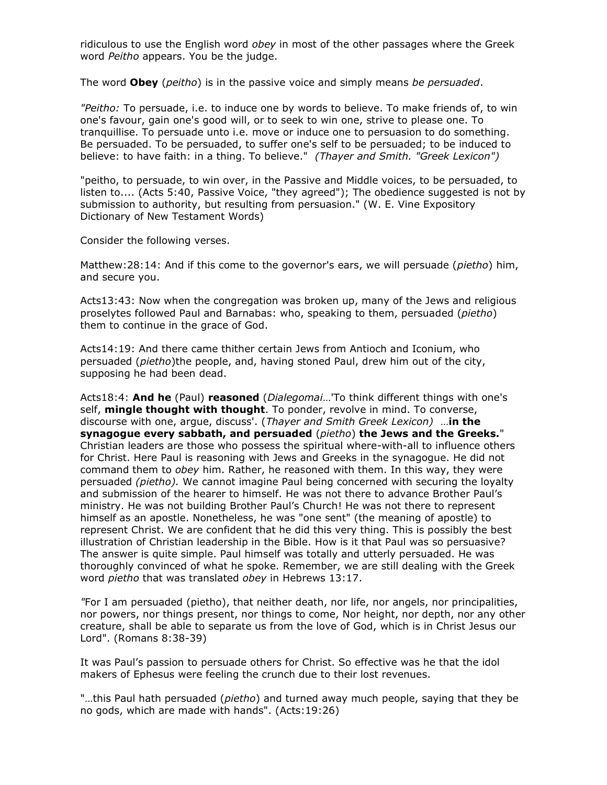ridiculous to use the English word *obey* in most of the other passages where the Greek word *Peitho* appears. You be the judge.

The word **Obey** (*peitho*) is in the passive voice and simply means *be persuaded*.

*"Peitho:* To persuade, i.e. to induce one by words to believe. To make friends of, to win one's favour, gain one's good will, or to seek to win one, strive to please one. To tranquillise. To persuade unto i.e. move or induce one to persuasion to do something. Be persuaded. To be persuaded, to suffer one's self to be persuaded; to be induced to believe: to have faith: in a thing. To believe." *(Thayer and Smith. "Greek Lexicon")*

"peitho, to persuade, to win over, in the Passive and Middle voices, to be persuaded, to listen to.... (Acts 5:40, Passive Voice, "they agreed"); The obedience suggested is not by submission to authority, but resulting from persuasion." (W. E. Vine Expository Dictionary of New Testament Words)

Consider the following verses.

Matthew:28:14: And if this come to the governor's ears, we will persuade (*pietho*) him, and secure you.

Acts13:43: Now when the congregation was broken up, many of the Jews and religious proselytes followed Paul and Barnabas: who, speaking to them, persuaded (*pietho*) them to continue in the grace of God.

Acts14:19: And there came thither certain Jews from Antioch and Iconium, who persuaded (*pietho*)the people, and, having stoned Paul, drew him out of the city, supposing he had been dead.

Acts18:4: **And he** (Paul) **reasoned** (*Dialegomai*…'To think different things with one's self, **mingle thought with thought**. To ponder, revolve in mind. To converse, discourse with one, argue, discuss'. (*Thayer and Smith Greek Lexicon)* …**in the synagogue every sabbath, and persuaded** (*pietho*) **the Jews and the Greeks.**" Christian leaders are those who possess the spiritual where-with-all to influence others for Christ. Here Paul is reasoning with Jews and Greeks in the synagogue. He did not command them to *obey* him. Rather, he reasoned with them. In this way, they were persuaded *(pietho).* We cannot imagine Paul being concerned with securing the loyalty and submission of the hearer to himself. He was not there to advance Brother Paul's ministry. He was not building Brother Paul's Church! He was not there to represent himself as an apostle. Nonetheless, he was "one sent" (the meaning of apostle) to represent Christ. We are confident that he did this very thing. This is possibly the best illustration of Christian leadership in the Bible. How is it that Paul was so persuasive? The answer is quite simple. Paul himself was totally and utterly persuaded. He was thoroughly convinced of what he spoke. Remember, we are still dealing with the Greek word *pietho* that was translated *obey* in Hebrews 13:17.

*"*For I am persuaded (pietho), that neither death, nor life, nor angels, nor principalities, nor powers, nor things present, nor things to come, Nor height, nor depth, nor any other creature, shall be able to separate us from the love of God, which is in Christ Jesus our Lord". (Romans 8:38-39)

It was Paul's passion to persuade others for Christ. So effective was he that the idol makers of Ephesus were feeling the crunch due to their lost revenues.

"…this Paul hath persuaded (*pietho*) and turned away much people, saying that they be no gods, which are made with hands". (Acts:19:26)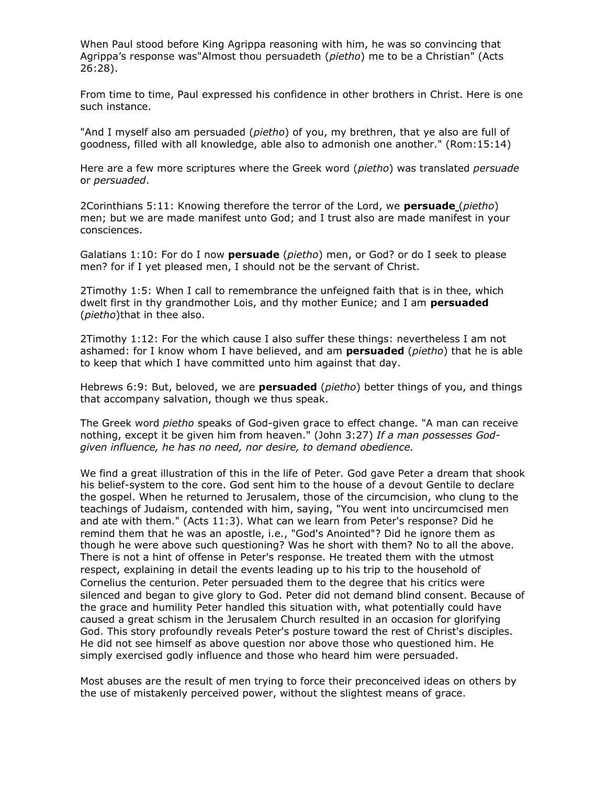When Paul stood before King Agrippa reasoning with him, he was so convincing that Agrippa's response was"Almost thou persuadeth (*pietho*) me to be a Christian" (Acts 26:28).

From time to time, Paul expressed his confidence in other brothers in Christ. Here is one such instance.

"And I myself also am persuaded (*pietho*) of you, my brethren, that ye also are full of goodness, filled with all knowledge, able also to admonish one another." (Rom:15:14)

Here are a few more scriptures where the Greek word (*pietho*) was translated *persuade* or *persuaded*.

2Corinthians 5:11: Knowing therefore the terror of the Lord, we **persuade** (*pietho*) men; but we are made manifest unto God; and I trust also are made manifest in your consciences.

Galatians 1:10: For do I now **persuade** (*pietho*) men, or God? or do I seek to please men? for if I yet pleased men, I should not be the servant of Christ.

2Timothy 1:5: When I call to remembrance the unfeigned faith that is in thee, which dwelt first in thy grandmother Lois, and thy mother Eunice; and I am **persuaded** (*pietho*)that in thee also.

2Timothy 1:12: For the which cause I also suffer these things: nevertheless I am not ashamed: for I know whom I have believed, and am **persuaded** (*pietho*) that he is able to keep that which I have committed unto him against that day.

Hebrews 6:9: But, beloved, we are **persuaded** (*pietho*) better things of you, and things that accompany salvation, though we thus speak.

The Greek word *pietho* speaks of God-given grace to effect change. "A man can receive nothing, except it be given him from heaven." (John 3:27) *If a man possesses Godgiven influence, he has no need, nor desire, to demand obedience.*

We find a great illustration of this in the life of Peter. God gave Peter a dream that shook his belief-system to the core. God sent him to the house of a devout Gentile to declare the gospel. When he returned to Jerusalem, those of the circumcision, who clung to the teachings of Judaism, contended with him, saying, "You went into uncircumcised men and ate with them." (Acts 11:3). What can we learn from Peter's response? Did he remind them that he was an apostle, i.e., "God's Anointed"? Did he ignore them as though he were above such questioning? Was he short with them? No to all the above. There is not a hint of offense in Peter's response. He treated them with the utmost respect, explaining in detail the events leading up to his trip to the household of Cornelius the centurion. Peter persuaded them to the degree that his critics were silenced and began to give glory to God. Peter did not demand blind consent. Because of the grace and humility Peter handled this situation with, what potentially could have caused a great schism in the Jerusalem Church resulted in an occasion for glorifying God. This story profoundly reveals Peter's posture toward the rest of Christ's disciples. He did not see himself as above question nor above those who questioned him. He simply exercised godly influence and those who heard him were persuaded.

Most abuses are the result of men trying to force their preconceived ideas on others by the use of mistakenly perceived power, without the slightest means of grace.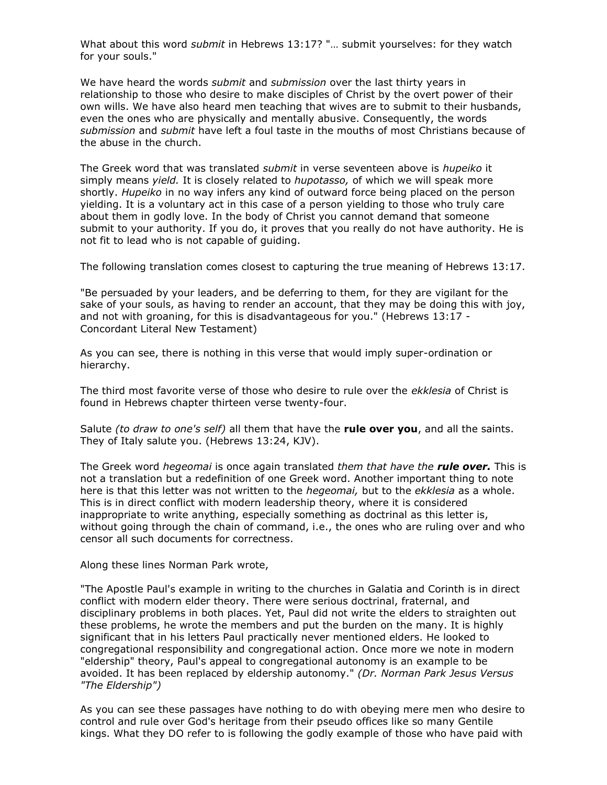What about this word *submit* in Hebrews 13:17? "… submit yourselves: for they watch for your souls."

We have heard the words *submit* and *submission* over the last thirty years in relationship to those who desire to make disciples of Christ by the overt power of their own wills. We have also heard men teaching that wives are to submit to their husbands, even the ones who are physically and mentally abusive. Consequently, the words *submission* and *submit* have left a foul taste in the mouths of most Christians because of the abuse in the church.

The Greek word that was translated *submit* in verse seventeen above is *hupeiko* it simply means *yield.* It is closely related to *hupotasso,* of which we will speak more shortly. *Hupeiko* in no way infers any kind of outward force being placed on the person yielding. It is a voluntary act in this case of a person yielding to those who truly care about them in godly love. In the body of Christ you cannot demand that someone submit to your authority. If you do, it proves that you really do not have authority. He is not fit to lead who is not capable of guiding.

The following translation comes closest to capturing the true meaning of Hebrews 13:17.

"Be persuaded by your leaders, and be deferring to them, for they are vigilant for the sake of your souls, as having to render an account, that they may be doing this with joy, and not with groaning, for this is disadvantageous for you." (Hebrews 13:17 - Concordant Literal New Testament)

As you can see, there is nothing in this verse that would imply super-ordination or hierarchy.

The third most favorite verse of those who desire to rule over the *ekklesia* of Christ is found in Hebrews chapter thirteen verse twenty-four.

Salute *(to draw to one's self)* all them that have the **rule over you**, and all the saints. They of Italy salute you. (Hebrews 13:24, KJV).

The Greek word *hegeomai* is once again translated *them that have the rule over.* This is not a translation but a redefinition of one Greek word. Another important thing to note here is that this letter was not written to the *hegeomai,* but to the *ekklesia* as a whole. This is in direct conflict with modern leadership theory, where it is considered inappropriate to write anything, especially something as doctrinal as this letter is, without going through the chain of command, i.e., the ones who are ruling over and who censor all such documents for correctness.

Along these lines Norman Park wrote,

"The Apostle Paul's example in writing to the churches in Galatia and Corinth is in direct conflict with modern elder theory. There were serious doctrinal, fraternal, and disciplinary problems in both places. Yet, Paul did not write the elders to straighten out these problems, he wrote the members and put the burden on the many. It is highly significant that in his letters Paul practically never mentioned elders. He looked to congregational responsibility and congregational action. Once more we note in modern "eldership" theory, Paul's appeal to congregational autonomy is an example to be avoided. It has been replaced by eldership autonomy." *(Dr. Norman Park Jesus Versus "The Eldership")*

As you can see these passages have nothing to do with obeying mere men who desire to control and rule over God's heritage from their pseudo offices like so many Gentile kings. What they DO refer to is following the godly example of those who have paid with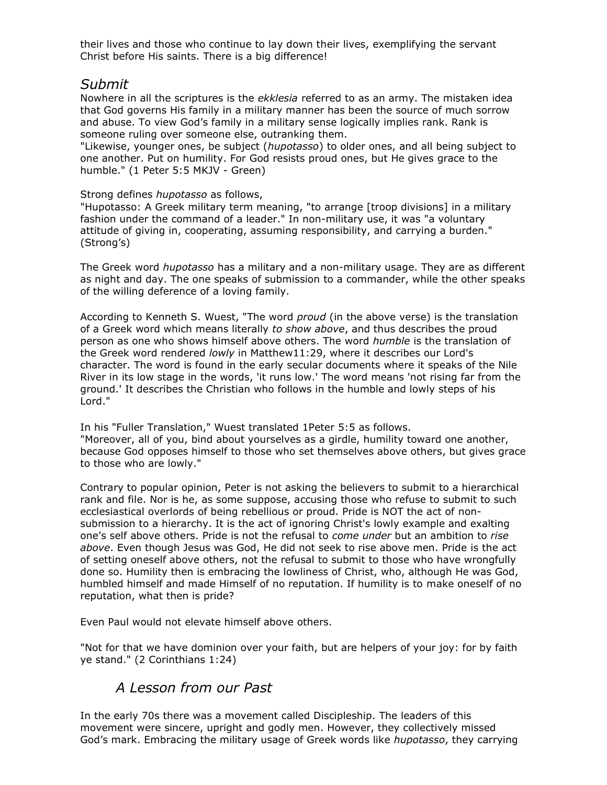their lives and those who continue to lay down their lives, exemplifying the servant Christ before His saints. There is a big difference!

#### *Submit*

Nowhere in all the scriptures is the *ekklesia* referred to as an army. The mistaken idea that God governs His family in a military manner has been the source of much sorrow and abuse. To view God's family in a military sense logically implies rank. Rank is someone ruling over someone else, outranking them.

"Likewise, younger ones, be subject (*hupotasso*) to older ones, and all being subject to one another. Put on humility. For God resists proud ones, but He gives grace to the humble." (1 Peter 5:5 MKJV - Green)

#### Strong defines *hupotasso* as follows,

"Hupotasso: A Greek military term meaning, "to arrange [troop divisions] in a military fashion under the command of a leader." In non-military use, it was "a voluntary attitude of giving in, cooperating, assuming responsibility, and carrying a burden." (Strong's)

The Greek word *hupotasso* has a military and a non-military usage. They are as different as night and day. The one speaks of submission to a commander, while the other speaks of the willing deference of a loving family.

According to Kenneth S. Wuest, "The word *proud* (in the above verse) is the translation of a Greek word which means literally *to show above*, and thus describes the proud person as one who shows himself above others. The word *humble* is the translation of the Greek word rendered *lowly* in Matthew11:29, where it describes our Lord's character. The word is found in the early secular documents where it speaks of the Nile River in its low stage in the words, 'it runs low.' The word means 'not rising far from the ground.' It describes the Christian who follows in the humble and lowly steps of his Lord."

In his "Fuller Translation," Wuest translated 1Peter 5:5 as follows. "Moreover, all of you, bind about yourselves as a girdle, humility toward one another, because God opposes himself to those who set themselves above others, but gives grace to those who are lowly."

Contrary to popular opinion, Peter is not asking the believers to submit to a hierarchical rank and file. Nor is he, as some suppose, accusing those who refuse to submit to such ecclesiastical overlords of being rebellious or proud. Pride is NOT the act of nonsubmission to a hierarchy. It is the act of ignoring Christ's lowly example and exalting one's self above others. Pride is not the refusal to *come under* but an ambition to *rise above*. Even though Jesus was God, He did not seek to rise above men. Pride is the act of setting oneself above others, not the refusal to submit to those who have wrongfully done so. Humility then is embracing the lowliness of Christ, who, although He was God, humbled himself and made Himself of no reputation. If humility is to make oneself of no reputation, what then is pride?

Even Paul would not elevate himself above others.

"Not for that we have dominion over your faith, but are helpers of your joy: for by faith ye stand." (2 Corinthians 1:24)

## *A Lesson from our Past*

In the early 70s there was a movement called Discipleship. The leaders of this movement were sincere, upright and godly men. However, they collectively missed God's mark. Embracing the military usage of Greek words like *hupotasso*, they carrying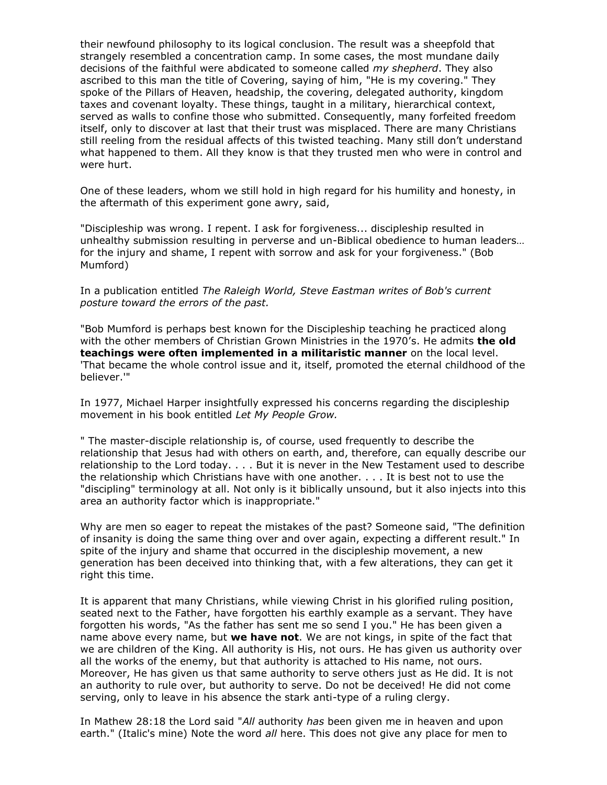their newfound philosophy to its logical conclusion. The result was a sheepfold that strangely resembled a concentration camp. In some cases, the most mundane daily decisions of the faithful were abdicated to someone called *my shepherd*. They also ascribed to this man the title of Covering, saying of him, "He is my covering." They spoke of the Pillars of Heaven, headship, the covering, delegated authority, kingdom taxes and covenant loyalty. These things, taught in a military, hierarchical context, served as walls to confine those who submitted. Consequently, many forfeited freedom itself, only to discover at last that their trust was misplaced. There are many Christians still reeling from the residual affects of this twisted teaching. Many still don't understand what happened to them. All they know is that they trusted men who were in control and were hurt.

One of these leaders, whom we still hold in high regard for his humility and honesty, in the aftermath of this experiment gone awry, said,

"Discipleship was wrong. I repent. I ask for forgiveness... discipleship resulted in unhealthy submission resulting in perverse and un-Biblical obedience to human leaders… for the injury and shame, I repent with sorrow and ask for your forgiveness." (Bob Mumford)

In a publication entitled *The Raleigh World, Steve Eastman writes of Bob's current posture toward the errors of the past.*

"Bob Mumford is perhaps best known for the Discipleship teaching he practiced along with the other members of Christian Grown Ministries in the 1970's. He admits **the old teachings were often implemented in a militaristic manner** on the local level. 'That became the whole control issue and it, itself, promoted the eternal childhood of the believer.'"

In 1977, Michael Harper insightfully expressed his concerns regarding the discipleship movement in his book entitled *Let My People Grow.*

" The master-disciple relationship is, of course, used frequently to describe the relationship that Jesus had with others on earth, and, therefore, can equally describe our relationship to the Lord today. . . . But it is never in the New Testament used to describe the relationship which Christians have with one another. . . . It is best not to use the "discipling" terminology at all. Not only is it biblically unsound, but it also injects into this area an authority factor which is inappropriate."

Why are men so eager to repeat the mistakes of the past? Someone said, "The definition of insanity is doing the same thing over and over again, expecting a different result." In spite of the injury and shame that occurred in the discipleship movement, a new generation has been deceived into thinking that, with a few alterations, they can get it right this time.

It is apparent that many Christians, while viewing Christ in his glorified ruling position, seated next to the Father, have forgotten his earthly example as a servant. They have forgotten his words, "As the father has sent me so send I you." He has been given a name above every name, but **we have not**. We are not kings, in spite of the fact that we are children of the King. All authority is His, not ours. He has given us authority over all the works of the enemy, but that authority is attached to His name, not ours. Moreover, He has given us that same authority to serve others just as He did. It is not an authority to rule over, but authority to serve. Do not be deceived! He did not come serving, only to leave in his absence the stark anti-type of a ruling clergy.

In Mathew 28:18 the Lord said "*All* authority *has* been given me in heaven and upon earth." (Italic's mine) Note the word *all* here. This does not give any place for men to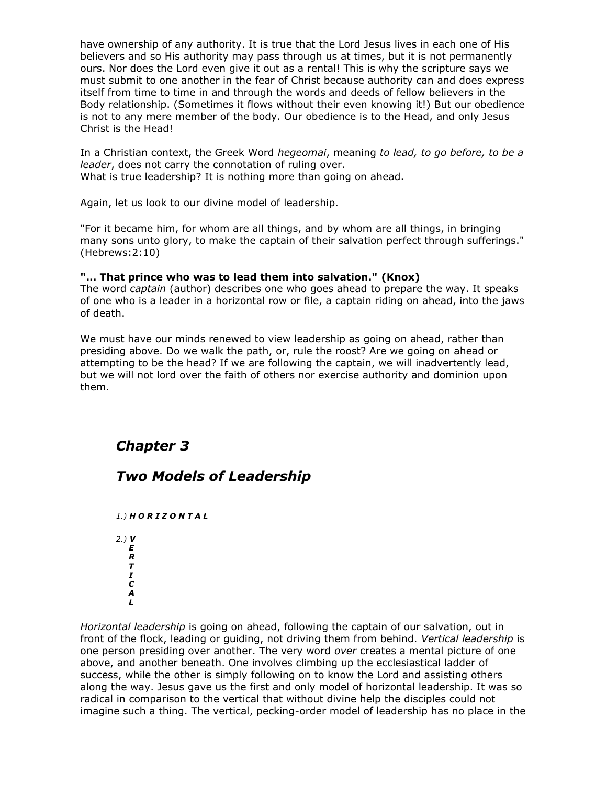have ownership of any authority. It is true that the Lord Jesus lives in each one of His believers and so His authority may pass through us at times, but it is not permanently ours. Nor does the Lord even give it out as a rental! This is why the scripture says we must submit to one another in the fear of Christ because authority can and does express itself from time to time in and through the words and deeds of fellow believers in the Body relationship. (Sometimes it flows without their even knowing it!) But our obedience is not to any mere member of the body. Our obedience is to the Head, and only Jesus Christ is the Head!

In a Christian context, the Greek Word *hegeomai*, meaning *to lead, to go before, to be a leader*, does not carry the connotation of ruling over. What is true leadership? It is nothing more than going on ahead.

Again, let us look to our divine model of leadership.

"For it became him, for whom are all things, and by whom are all things, in bringing many sons unto glory, to make the captain of their salvation perfect through sufferings." (Hebrews:2:10)

#### **"… That prince who was to lead them into salvation." (Knox)**

The word *captain* (author) describes one who goes ahead to prepare the way. It speaks of one who is a leader in a horizontal row or file, a captain riding on ahead, into the jaws of death.

We must have our minds renewed to view leadership as going on ahead, rather than presiding above. Do we walk the path, or, rule the roost? Are we going on ahead or attempting to be the head? If we are following the captain, we will inadvertently lead, but we will not lord over the faith of others nor exercise authority and dominion upon them.

# *Chapter 3*

## *Two Models of Leadership*

*1.) H O R I Z O N T A L 2.) V E R T I C A L*

*Horizontal leadership* is going on ahead, following the captain of our salvation, out in front of the flock, leading or guiding, not driving them from behind. *Vertical leadership* is one person presiding over another. The very word *over* creates a mental picture of one above, and another beneath. One involves climbing up the ecclesiastical ladder of success, while the other is simply following on to know the Lord and assisting others along the way. Jesus gave us the first and only model of horizontal leadership. It was so radical in comparison to the vertical that without divine help the disciples could not imagine such a thing. The vertical, pecking-order model of leadership has no place in the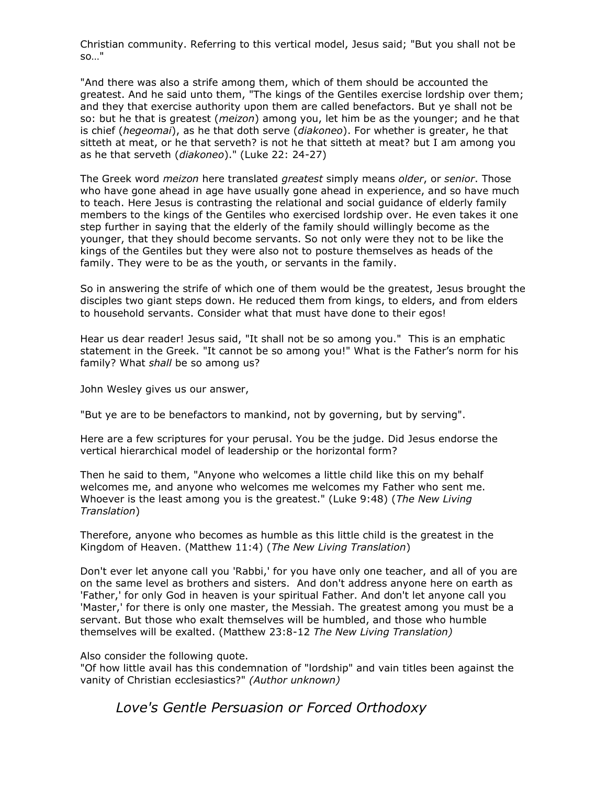Christian community. Referring to this vertical model, Jesus said; "But you shall not be so…"

"And there was also a strife among them, which of them should be accounted the greatest. And he said unto them, "The kings of the Gentiles exercise lordship over them; and they that exercise authority upon them are called benefactors. But ye shall not be so: but he that is greatest (*meizon*) among you, let him be as the younger; and he that is chief (*hegeomai*), as he that doth serve (*diakoneo*). For whether is greater, he that sitteth at meat, or he that serveth? is not he that sitteth at meat? but I am among you as he that serveth (*diakoneo*)." (Luke 22: 24-27)

The Greek word *meizon* here translated *greatest* simply means *older*, or *senior*. Those who have gone ahead in age have usually gone ahead in experience, and so have much to teach. Here Jesus is contrasting the relational and social guidance of elderly family members to the kings of the Gentiles who exercised lordship over. He even takes it one step further in saying that the elderly of the family should willingly become as the younger, that they should become servants. So not only were they not to be like the kings of the Gentiles but they were also not to posture themselves as heads of the family. They were to be as the youth, or servants in the family.

So in answering the strife of which one of them would be the greatest, Jesus brought the disciples two giant steps down. He reduced them from kings, to elders, and from elders to household servants. Consider what that must have done to their egos!

Hear us dear reader! Jesus said, "It shall not be so among you." This is an emphatic statement in the Greek. "It cannot be so among you!" What is the Father's norm for his family? What *shall* be so among us?

John Wesley gives us our answer,

"But ye are to be benefactors to mankind, not by governing, but by serving".

Here are a few scriptures for your perusal. You be the judge. Did Jesus endorse the vertical hierarchical model of leadership or the horizontal form?

Then he said to them, "Anyone who welcomes a little child like this on my behalf welcomes me, and anyone who welcomes me welcomes my Father who sent me. Whoever is the least among you is the greatest." (Luke 9:48) (*The New Living Translation*)

Therefore, anyone who becomes as humble as this little child is the greatest in the Kingdom of Heaven. (Matthew 11:4) (*The New Living Translation*)

Don't ever let anyone call you 'Rabbi,' for you have only one teacher, and all of you are on the same level as brothers and sisters. And don't address anyone here on earth as 'Father,' for only God in heaven is your spiritual Father. And don't let anyone call you 'Master,' for there is only one master, the Messiah. The greatest among you must be a servant. But those who exalt themselves will be humbled, and those who humble themselves will be exalted. (Matthew 23:8-12 *The New Living Translation)*

Also consider the following quote.

"Of how little avail has this condemnation of "lordship" and vain titles been against the vanity of Christian ecclesiastics?" *(Author unknown)*

*Love's Gentle Persuasion or Forced Orthodoxy*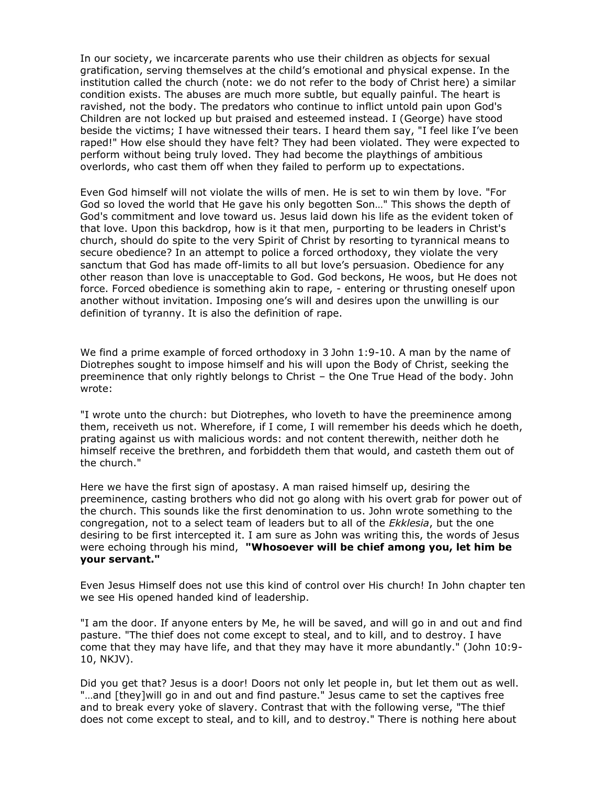In our society, we incarcerate parents who use their children as objects for sexual gratification, serving themselves at the child's emotional and physical expense. In the institution called the church (note: we do not refer to the body of Christ here) a similar condition exists. The abuses are much more subtle, but equally painful. The heart is ravished, not the body. The predators who continue to inflict untold pain upon God's Children are not locked up but praised and esteemed instead. I (George) have stood beside the victims; I have witnessed their tears. I heard them say, "I feel like I've been raped!" How else should they have felt? They had been violated. They were expected to perform without being truly loved. They had become the playthings of ambitious overlords, who cast them off when they failed to perform up to expectations.

Even God himself will not violate the wills of men. He is set to win them by love. "For God so loved the world that He gave his only begotten Son…" This shows the depth of God's commitment and love toward us. Jesus laid down his life as the evident token of that love. Upon this backdrop, how is it that men, purporting to be leaders in Christ's church, should do spite to the very Spirit of Christ by resorting to tyrannical means to secure obedience? In an attempt to police a forced orthodoxy, they violate the very sanctum that God has made off-limits to all but love's persuasion. Obedience for any other reason than love is unacceptable to God. God beckons, He woos, but He does not force. Forced obedience is something akin to rape, - entering or thrusting oneself upon another without invitation. Imposing one's will and desires upon the unwilling is our definition of tyranny. It is also the definition of rape.

We find a prime example of forced orthodoxy in 3 John 1:9-10. A man by the name of Diotrephes sought to impose himself and his will upon the Body of Christ, seeking the preeminence that only rightly belongs to Christ – the One True Head of the body. John wrote:

"I wrote unto the church: but Diotrephes, who loveth to have the preeminence among them, receiveth us not. Wherefore, if I come, I will remember his deeds which he doeth, prating against us with malicious words: and not content therewith, neither doth he himself receive the brethren, and forbiddeth them that would, and casteth them out of the church."

Here we have the first sign of apostasy. A man raised himself up, desiring the preeminence, casting brothers who did not go along with his overt grab for power out of the church. This sounds like the first denomination to us. John wrote something to the congregation, not to a select team of leaders but to all of the *Ekklesia*, but the one desiring to be first intercepted it. I am sure as John was writing this, the words of Jesus were echoing through his mind, **"Whosoever will be chief among you, let him be your servant."**

Even Jesus Himself does not use this kind of control over His church! In John chapter ten we see His opened handed kind of leadership.

"I am the door. If anyone enters by Me, he will be saved, and will go in and out and find pasture. "The thief does not come except to steal, and to kill, and to destroy. I have come that they may have life, and that they may have it more abundantly." (John 10:9- 10, NKJV).

Did you get that? Jesus is a door! Doors not only let people in, but let them out as well. "…and [they]will go in and out and find pasture." Jesus came to set the captives free and to break every yoke of slavery. Contrast that with the following verse, "The thief does not come except to steal, and to kill, and to destroy." There is nothing here about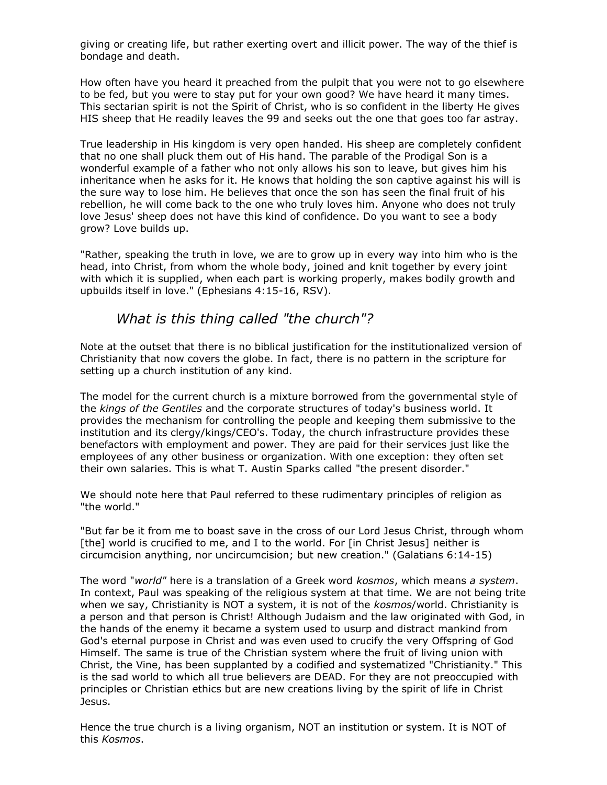giving or creating life, but rather exerting overt and illicit power. The way of the thief is bondage and death.

How often have you heard it preached from the pulpit that you were not to go elsewhere to be fed, but you were to stay put for your own good? We have heard it many times. This sectarian spirit is not the Spirit of Christ, who is so confident in the liberty He gives HIS sheep that He readily leaves the 99 and seeks out the one that goes too far astray.

True leadership in His kingdom is very open handed. His sheep are completely confident that no one shall pluck them out of His hand. The parable of the Prodigal Son is a wonderful example of a father who not only allows his son to leave, but gives him his inheritance when he asks for it. He knows that holding the son captive against his will is the sure way to lose him. He believes that once the son has seen the final fruit of his rebellion, he will come back to the one who truly loves him. Anyone who does not truly love Jesus' sheep does not have this kind of confidence. Do you want to see a body grow? Love builds up.

"Rather, speaking the truth in love, we are to grow up in every way into him who is the head, into Christ, from whom the whole body, joined and knit together by every joint with which it is supplied, when each part is working properly, makes bodily growth and upbuilds itself in love." (Ephesians 4:15-16, RSV).

## *What is this thing called "the church"?*

Note at the outset that there is no biblical justification for the institutionalized version of Christianity that now covers the globe. In fact, there is no pattern in the scripture for setting up a church institution of any kind.

The model for the current church is a mixture borrowed from the governmental style of the *kings of the Gentiles* and the corporate structures of today's business world. It provides the mechanism for controlling the people and keeping them submissive to the institution and its clergy/kings/CEO's. Today, the church infrastructure provides these benefactors with employment and power. They are paid for their services just like the employees of any other business or organization. With one exception: they often set their own salaries. This is what T. Austin Sparks called "the present disorder."

We should note here that Paul referred to these rudimentary principles of religion as "the world."

"But far be it from me to boast save in the cross of our Lord Jesus Christ, through whom [the] world is crucified to me, and I to the world. For [in Christ Jesus] neither is circumcision anything, nor uncircumcision; but new creation." (Galatians 6:14-15)

The word "*world"* here is a translation of a Greek word *kosmos*, which means *a system*. In context, Paul was speaking of the religious system at that time. We are not being trite when we say, Christianity is NOT a system, it is not of the *kosmos*/world. Christianity is a person and that person is Christ! Although Judaism and the law originated with God, in the hands of the enemy it became a system used to usurp and distract mankind from God's eternal purpose in Christ and was even used to crucify the very Offspring of God Himself. The same is true of the Christian system where the fruit of living union with Christ, the Vine, has been supplanted by a codified and systematized "Christianity." This is the sad world to which all true believers are DEAD. For they are not preoccupied with principles or Christian ethics but are new creations living by the spirit of life in Christ Jesus.

Hence the true church is a living organism, NOT an institution or system. It is NOT of this *Kosmos*.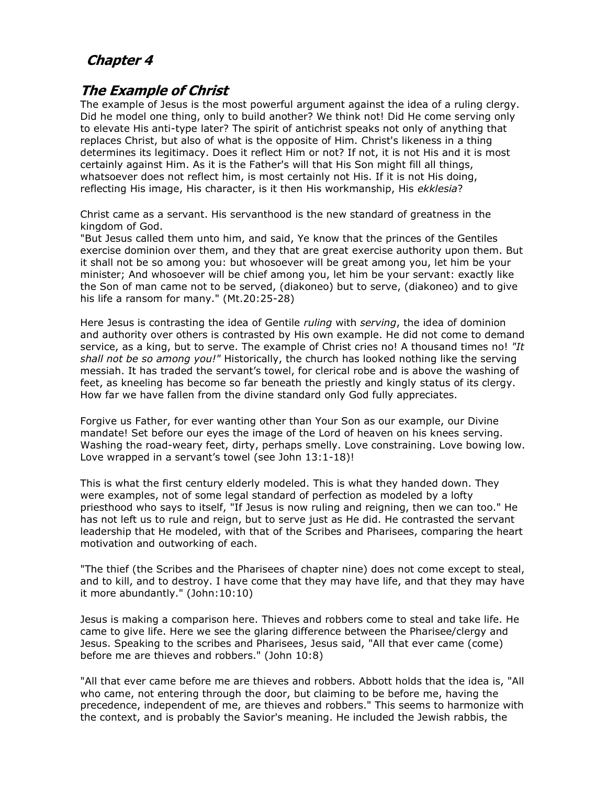# **Chapter 4**

## **The Example of Christ**

The example of Jesus is the most powerful argument against the idea of a ruling clergy. Did he model one thing, only to build another? We think not! Did He come serving only to elevate His anti-type later? The spirit of antichrist speaks not only of anything that replaces Christ, but also of what is the opposite of Him. Christ's likeness in a thing determines its legitimacy. Does it reflect Him or not? If not, it is not His and it is most certainly against Him. As it is the Father's will that His Son might fill all things, whatsoever does not reflect him, is most certainly not His. If it is not His doing, reflecting His image, His character, is it then His workmanship, His *ekklesia*?

Christ came as a servant. His servanthood is the new standard of greatness in the kingdom of God.

"But Jesus called them unto him, and said, Ye know that the princes of the Gentiles exercise dominion over them, and they that are great exercise authority upon them. But it shall not be so among you: but whosoever will be great among you, let him be your minister; And whosoever will be chief among you, let him be your servant: exactly like the Son of man came not to be served, (diakoneo) but to serve, (diakoneo) and to give his life a ransom for many." (Mt.20:25-28)

Here Jesus is contrasting the idea of Gentile *ruling* with *serving*, the idea of dominion and authority over others is contrasted by His own example. He did not come to demand service, as a king, but to serve. The example of Christ cries no! A thousand times no! *"It shall not be so among you!"* Historically, the church has looked nothing like the serving messiah. It has traded the servant's towel, for clerical robe and is above the washing of feet, as kneeling has become so far beneath the priestly and kingly status of its clergy. How far we have fallen from the divine standard only God fully appreciates.

Forgive us Father, for ever wanting other than Your Son as our example, our Divine mandate! Set before our eyes the image of the Lord of heaven on his knees serving. Washing the road-weary feet, dirty, perhaps smelly. Love constraining. Love bowing low. Love wrapped in a servant's towel (see John 13:1-18)!

This is what the first century elderly modeled. This is what they handed down. They were examples, not of some legal standard of perfection as modeled by a lofty priesthood who says to itself, "If Jesus is now ruling and reigning, then we can too." He has not left us to rule and reign, but to serve just as He did. He contrasted the servant leadership that He modeled, with that of the Scribes and Pharisees, comparing the heart motivation and outworking of each.

"The thief (the Scribes and the Pharisees of chapter nine) does not come except to steal, and to kill, and to destroy. I have come that they may have life, and that they may have it more abundantly." (John:10:10)

Jesus is making a comparison here. Thieves and robbers come to steal and take life. He came to give life. Here we see the glaring difference between the Pharisee/clergy and Jesus. Speaking to the scribes and Pharisees, Jesus said, "All that ever came (come) before me are thieves and robbers." (John 10:8)

"All that ever came before me are thieves and robbers. Abbott holds that the idea is, "All who came, not entering through the door, but claiming to be before me, having the precedence, independent of me, are thieves and robbers." This seems to harmonize with the context, and is probably the Savior's meaning. He included the Jewish rabbis, the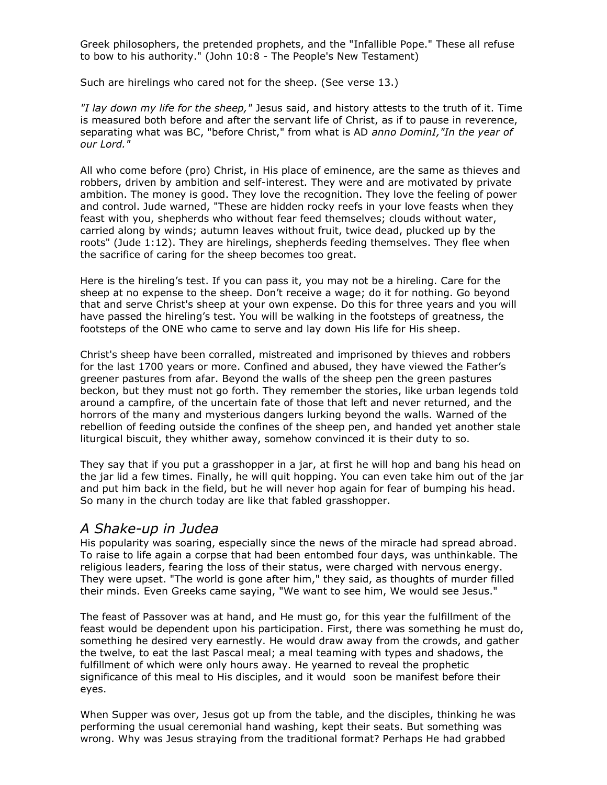Greek philosophers, the pretended prophets, and the "Infallible Pope." These all refuse to bow to his authority." (John 10:8 - The People's New Testament)

Such are hirelings who cared not for the sheep. (See verse 13.)

*"I lay down my life for the sheep,"* Jesus said, and history attests to the truth of it. Time is measured both before and after the servant life of Christ, as if to pause in reverence, separating what was BC, "before Christ," from what is AD *anno DominI,"In the year of our Lord."*

All who come before (pro) Christ, in His place of eminence, are the same as thieves and robbers, driven by ambition and self-interest. They were and are motivated by private ambition. The money is good. They love the recognition. They love the feeling of power and control. Jude warned, "These are hidden rocky reefs in your love feasts when they feast with you, shepherds who without fear feed themselves; clouds without water, carried along by winds; autumn leaves without fruit, twice dead, plucked up by the roots" (Jude 1:12). They are hirelings, shepherds feeding themselves. They flee when the sacrifice of caring for the sheep becomes too great.

Here is the hireling's test. If you can pass it, you may not be a hireling. Care for the sheep at no expense to the sheep. Don't receive a wage; do it for nothing. Go beyond that and serve Christ's sheep at your own expense. Do this for three years and you will have passed the hireling's test. You will be walking in the footsteps of greatness, the footsteps of the ONE who came to serve and lay down His life for His sheep.

Christ's sheep have been corralled, mistreated and imprisoned by thieves and robbers for the last 1700 years or more. Confined and abused, they have viewed the Father's greener pastures from afar. Beyond the walls of the sheep pen the green pastures beckon, but they must not go forth. They remember the stories, like urban legends told around a campfire, of the uncertain fate of those that left and never returned, and the horrors of the many and mysterious dangers lurking beyond the walls. Warned of the rebellion of feeding outside the confines of the sheep pen, and handed yet another stale liturgical biscuit, they whither away, somehow convinced it is their duty to so.

They say that if you put a grasshopper in a jar, at first he will hop and bang his head on the jar lid a few times. Finally, he will quit hopping. You can even take him out of the jar and put him back in the field, but he will never hop again for fear of bumping his head. So many in the church today are like that fabled grasshopper.

#### *A Shake-up in Judea*

His popularity was soaring, especially since the news of the miracle had spread abroad. To raise to life again a corpse that had been entombed four days, was unthinkable. The religious leaders, fearing the loss of their status, were charged with nervous energy. They were upset. "The world is gone after him," they said, as thoughts of murder filled their minds. Even Greeks came saying, "We want to see him, We would see Jesus."

The feast of Passover was at hand, and He must go, for this year the fulfillment of the feast would be dependent upon his participation. First, there was something he must do, something he desired very earnestly. He would draw away from the crowds, and gather the twelve, to eat the last Pascal meal; a meal teaming with types and shadows, the fulfillment of which were only hours away. He yearned to reveal the prophetic significance of this meal to His disciples, and it would soon be manifest before their eyes.

When Supper was over, Jesus got up from the table, and the disciples, thinking he was performing the usual ceremonial hand washing, kept their seats. But something was wrong. Why was Jesus straying from the traditional format? Perhaps He had grabbed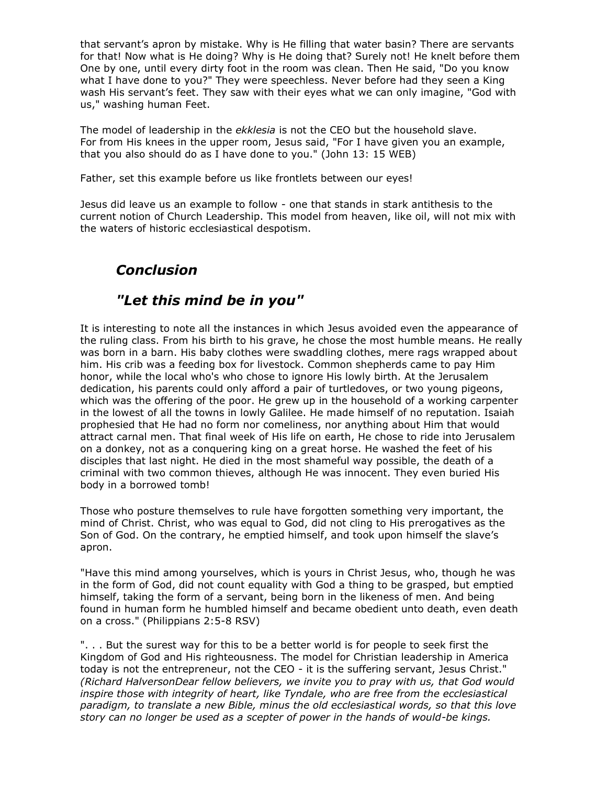that servant's apron by mistake. Why is He filling that water basin? There are servants for that! Now what is He doing? Why is He doing that? Surely not! He knelt before them One by one, until every dirty foot in the room was clean. Then He said, "Do you know what I have done to you?" They were speechless. Never before had they seen a King wash His servant's feet. They saw with their eyes what we can only imagine, "God with us," washing human Feet.

The model of leadership in the *ekklesia* is not the CEO but the household slave. For from His knees in the upper room, Jesus said, "For I have given you an example, that you also should do as I have done to you." (John 13: 15 WEB)

Father, set this example before us like frontlets between our eyes!

Jesus did leave us an example to follow - one that stands in stark antithesis to the current notion of Church Leadership. This model from heaven, like oil, will not mix with the waters of historic ecclesiastical despotism.

# *Conclusion*

# *"Let this mind be in you"*

It is interesting to note all the instances in which Jesus avoided even the appearance of the ruling class. From his birth to his grave, he chose the most humble means. He really was born in a barn. His baby clothes were swaddling clothes, mere rags wrapped about him. His crib was a feeding box for livestock. Common shepherds came to pay Him honor, while the local who's who chose to ignore His lowly birth. At the Jerusalem dedication, his parents could only afford a pair of turtledoves, or two young pigeons, which was the offering of the poor. He grew up in the household of a working carpenter in the lowest of all the towns in lowly Galilee. He made himself of no reputation. Isaiah prophesied that He had no form nor comeliness, nor anything about Him that would attract carnal men. That final week of His life on earth, He chose to ride into Jerusalem on a donkey, not as a conquering king on a great horse. He washed the feet of his disciples that last night. He died in the most shameful way possible, the death of a criminal with two common thieves, although He was innocent. They even buried His body in a borrowed tomb!

Those who posture themselves to rule have forgotten something very important, the mind of Christ. Christ, who was equal to God, did not cling to His prerogatives as the Son of God. On the contrary, he emptied himself, and took upon himself the slave's apron.

"Have this mind among yourselves, which is yours in Christ Jesus, who, though he was in the form of God, did not count equality with God a thing to be grasped, but emptied himself, taking the form of a servant, being born in the likeness of men. And being found in human form he humbled himself and became obedient unto death, even death on a cross." (Philippians 2:5-8 RSV)

". . . But the surest way for this to be a better world is for people to seek first the Kingdom of God and His righteousness. The model for Christian leadership in America today is not the entrepreneur, not the CEO - it is the suffering servant, Jesus Christ." *(Richard HalversonDear fellow believers, we invite you to pray with us, that God would inspire those with integrity of heart, like Tyndale, who are free from the ecclesiastical paradigm, to translate a new Bible, minus the old ecclesiastical words, so that this love story can no longer be used as a scepter of power in the hands of would-be kings.*